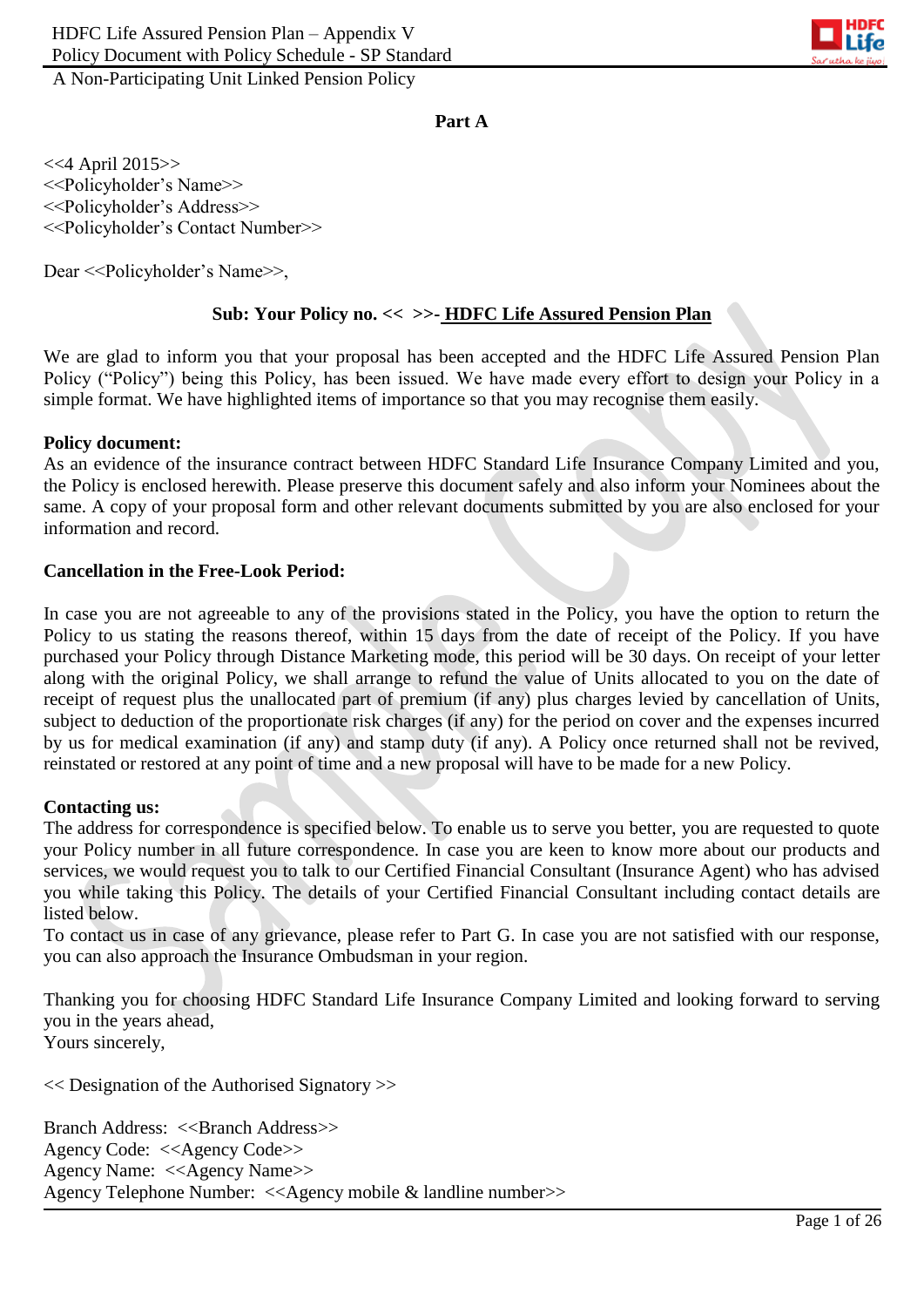

#### **Part A**

<<4 April 2015>> <<Policyholder's Name>> <<Policyholder's Address>> <<Policyholder's Contact Number>>

Dear <<Policyholder's Name>>,

#### **Sub: Your Policy no. << >>- HDFC Life Assured Pension Plan**

We are glad to inform you that your proposal has been accepted and the HDFC Life Assured Pension Plan Policy ("Policy") being this Policy, has been issued. We have made every effort to design your Policy in a simple format. We have highlighted items of importance so that you may recognise them easily.

#### **Policy document:**

As an evidence of the insurance contract between HDFC Standard Life Insurance Company Limited and you, the Policy is enclosed herewith. Please preserve this document safely and also inform your Nominees about the same. A copy of your proposal form and other relevant documents submitted by you are also enclosed for your information and record.

#### **Cancellation in the Free-Look Period:**

In case you are not agreeable to any of the provisions stated in the Policy, you have the option to return the Policy to us stating the reasons thereof, within 15 days from the date of receipt of the Policy. If you have purchased your Policy through Distance Marketing mode, this period will be 30 days. On receipt of your letter along with the original Policy, we shall arrange to refund the value of Units allocated to you on the date of receipt of request plus the unallocated part of premium (if any) plus charges levied by cancellation of Units, subject to deduction of the proportionate risk charges (if any) for the period on cover and the expenses incurred by us for medical examination (if any) and stamp duty (if any). A Policy once returned shall not be revived, reinstated or restored at any point of time and a new proposal will have to be made for a new Policy.

#### **Contacting us:**

The address for correspondence is specified below. To enable us to serve you better, you are requested to quote your Policy number in all future correspondence. In case you are keen to know more about our products and services, we would request you to talk to our Certified Financial Consultant (Insurance Agent) who has advised you while taking this Policy. The details of your Certified Financial Consultant including contact details are listed below.

To contact us in case of any grievance, please refer to Part G. In case you are not satisfied with our response, you can also approach the Insurance Ombudsman in your region.

Thanking you for choosing HDFC Standard Life Insurance Company Limited and looking forward to serving you in the years ahead, Yours sincerely,

<< Designation of the Authorised Signatory >>

Branch Address: <<Branch Address>> Agency Code: <<Agency Code>> Agency Name: <<Agency Name>> Agency Telephone Number: <<Agency mobile & landline number>>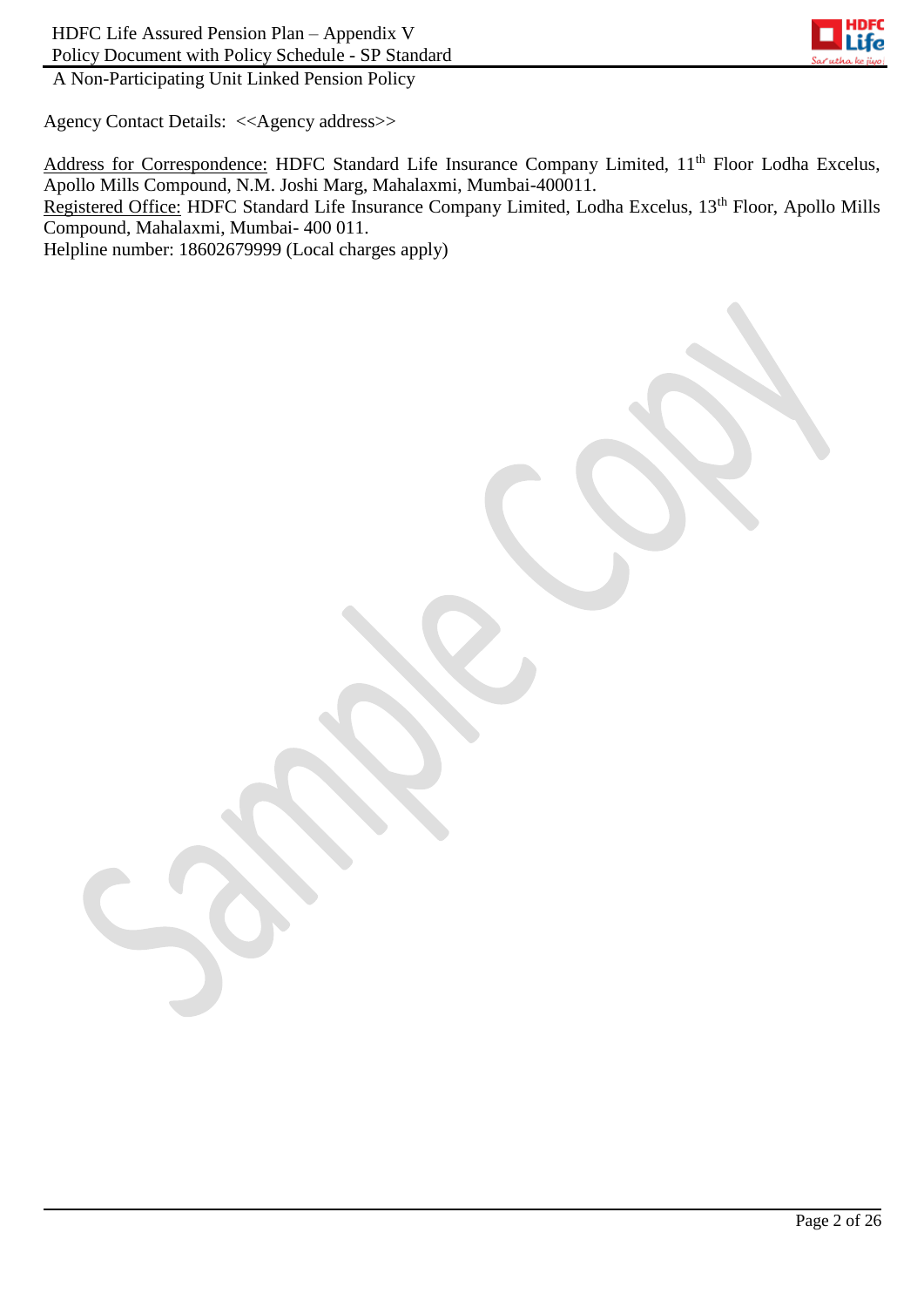

Agency Contact Details: <<Agency address>>

Address for Correspondence: HDFC Standard Life Insurance Company Limited, 11<sup>th</sup> Floor Lodha Excelus, Apollo Mills Compound, N.M. Joshi Marg, Mahalaxmi, Mumbai-400011. Registered Office: HDFC Standard Life Insurance Company Limited, Lodha Excelus, 13<sup>th</sup> Floor, Apollo Mills Compound, Mahalaxmi, Mumbai- 400 011. Helpline number: 18602679999 (Local charges apply)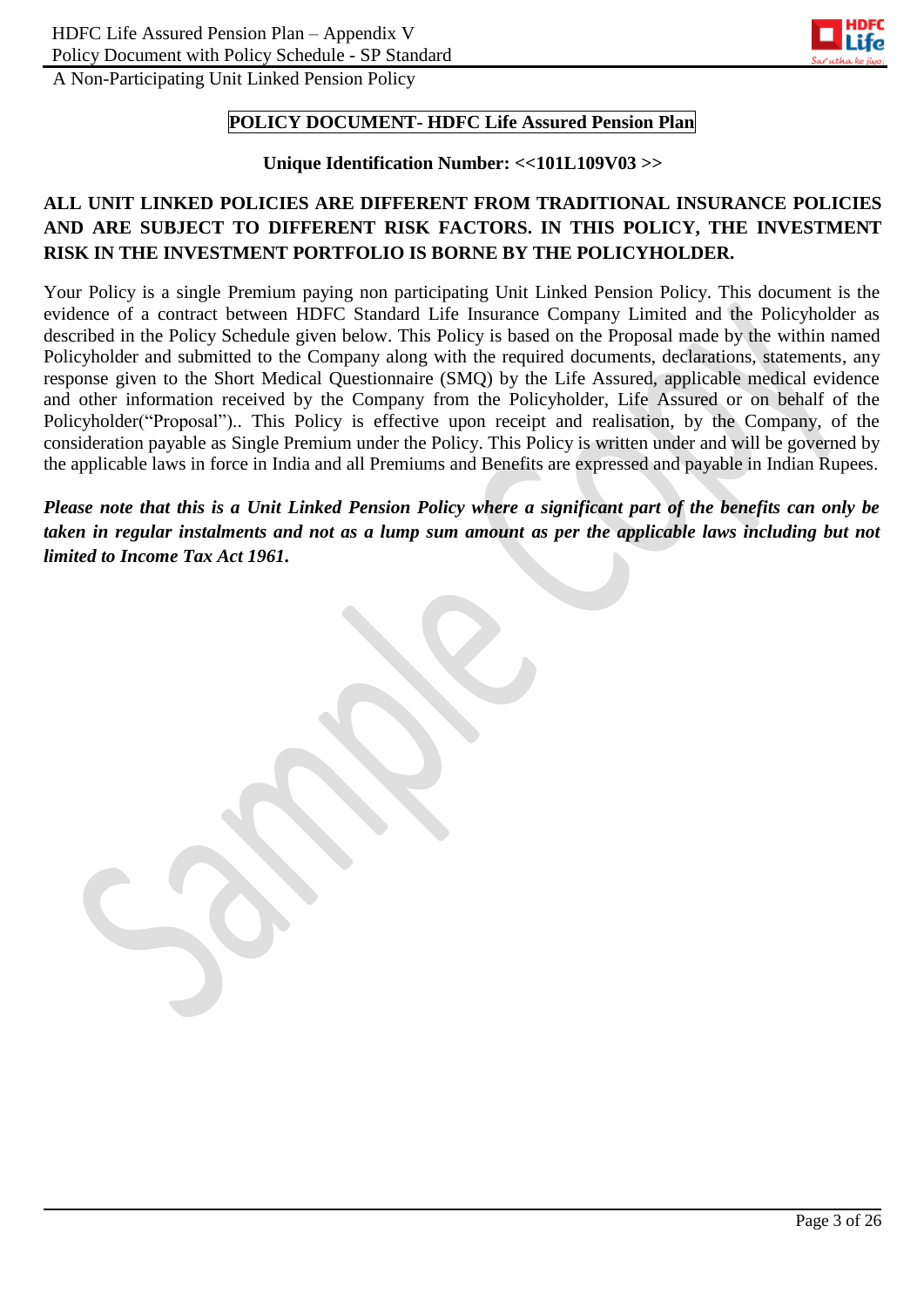

### **POLICY DOCUMENT- HDFC Life Assured Pension Plan**

#### **Unique Identification Number: <<101L109V03 >>**

# **ALL UNIT LINKED POLICIES ARE DIFFERENT FROM TRADITIONAL INSURANCE POLICIES AND ARE SUBJECT TO DIFFERENT RISK FACTORS. IN THIS POLICY, THE INVESTMENT RISK IN THE INVESTMENT PORTFOLIO IS BORNE BY THE POLICYHOLDER.**

Your Policy is a single Premium paying non participating Unit Linked Pension Policy. This document is the evidence of a contract between HDFC Standard Life Insurance Company Limited and the Policyholder as described in the Policy Schedule given below. This Policy is based on the Proposal made by the within named Policyholder and submitted to the Company along with the required documents, declarations, statements, any response given to the Short Medical Questionnaire (SMQ) by the Life Assured, applicable medical evidence and other information received by the Company from the Policyholder, Life Assured or on behalf of the Policyholder("Proposal").. This Policy is effective upon receipt and realisation, by the Company, of the consideration payable as Single Premium under the Policy. This Policy is written under and will be governed by the applicable laws in force in India and all Premiums and Benefits are expressed and payable in Indian Rupees.

*Please note that this is a Unit Linked Pension Policy where a significant part of the benefits can only be taken in regular instalments and not as a lump sum amount as per the applicable laws including but not limited to Income Tax Act 1961.*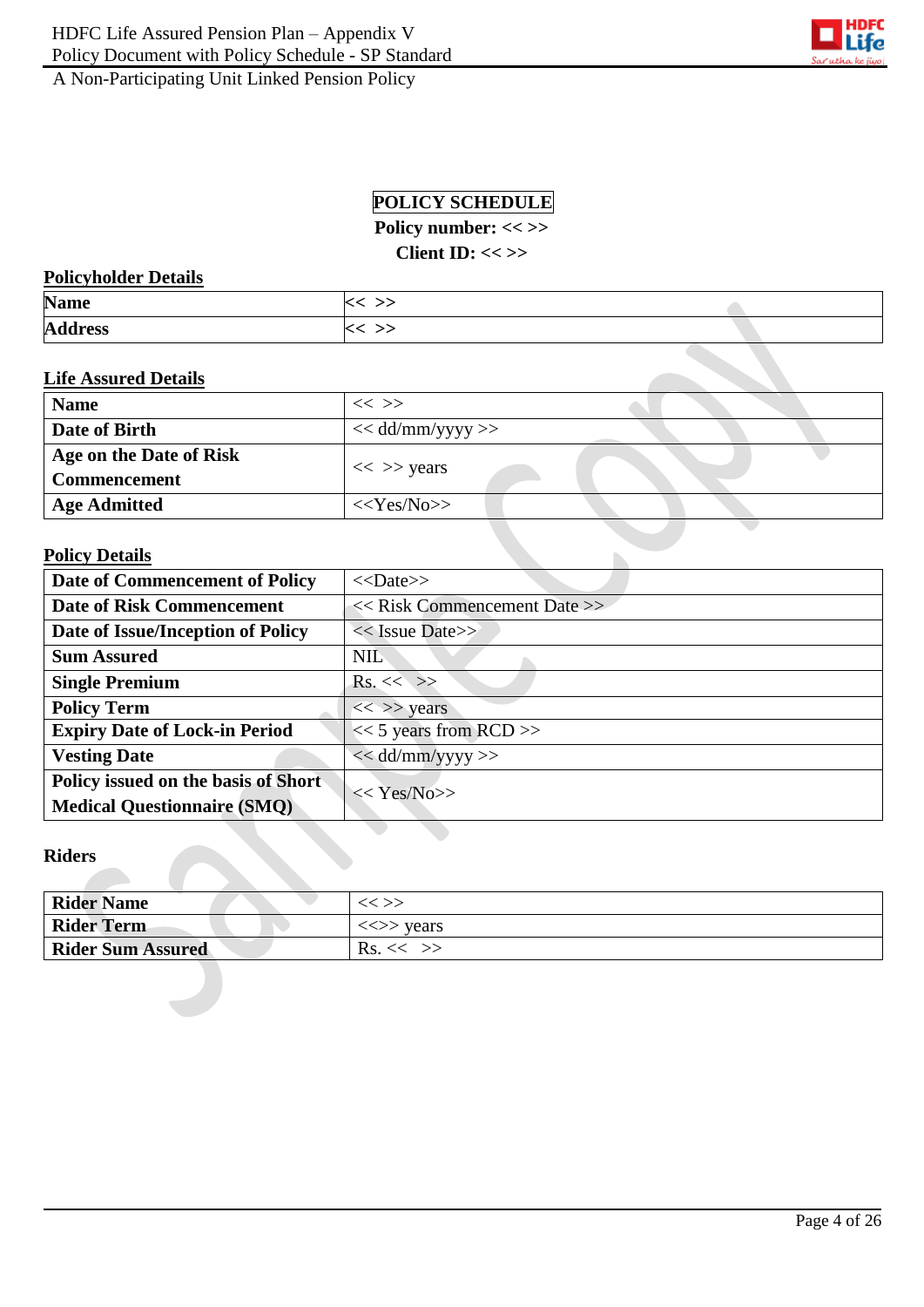

# **POLICY SCHEDULE**

Policy number: << >>

**Client ID: << >>**

### **Policyholder Details**

| <b>Name</b>    |  |
|----------------|--|
| <b>Address</b> |  |

### **Life Assured Details**

| <b>Name</b>             | $<<$ $>>$           |
|-------------------------|---------------------|
| Date of Birth           | $<<$ dd/mm/yyyy >>  |
| Age on the Date of Risk |                     |
| Commencement            | $<<$ >> years       |
| <b>Age Admitted</b>     | $<<\text{Yes/N0}>>$ |

 $\mathbb{R}^2$ 

# **Policy Details**

| <b>Date of Commencement of Policy</b> | $<<$ Date>>                      |  |
|---------------------------------------|----------------------------------|--|
| <b>Date of Risk Commencement</b>      | $<<$ Risk Commencement Date $>>$ |  |
| Date of Issue/Inception of Policy     | $<<$ Issue Date>>                |  |
| <b>Sum Assured</b>                    | <b>NIL</b>                       |  |
| <b>Single Premium</b>                 | $Rs. \ll \gg$                    |  |
| <b>Policy Term</b>                    | $<<$ >> years                    |  |
| <b>Expiry Date of Lock-in Period</b>  | $<< 5$ years from RCD >>         |  |
| <b>Vesting Date</b>                   | $<<$ dd/mm/yyyy >>               |  |
| Policy issued on the basis of Short   | $<< \text{Yes/N0}>>$             |  |
| <b>Medical Questionnaire (SMQ)</b>    |                                  |  |

#### **Riders**

| <b>Rider Name</b>        | $<<$ $>>$                               |
|--------------------------|-----------------------------------------|
| Rider Term               | $\langle \langle \rangle \rangle$ years |
| <b>Rider Sum Assured</b> | $\text{Rs.}<<$ >>                       |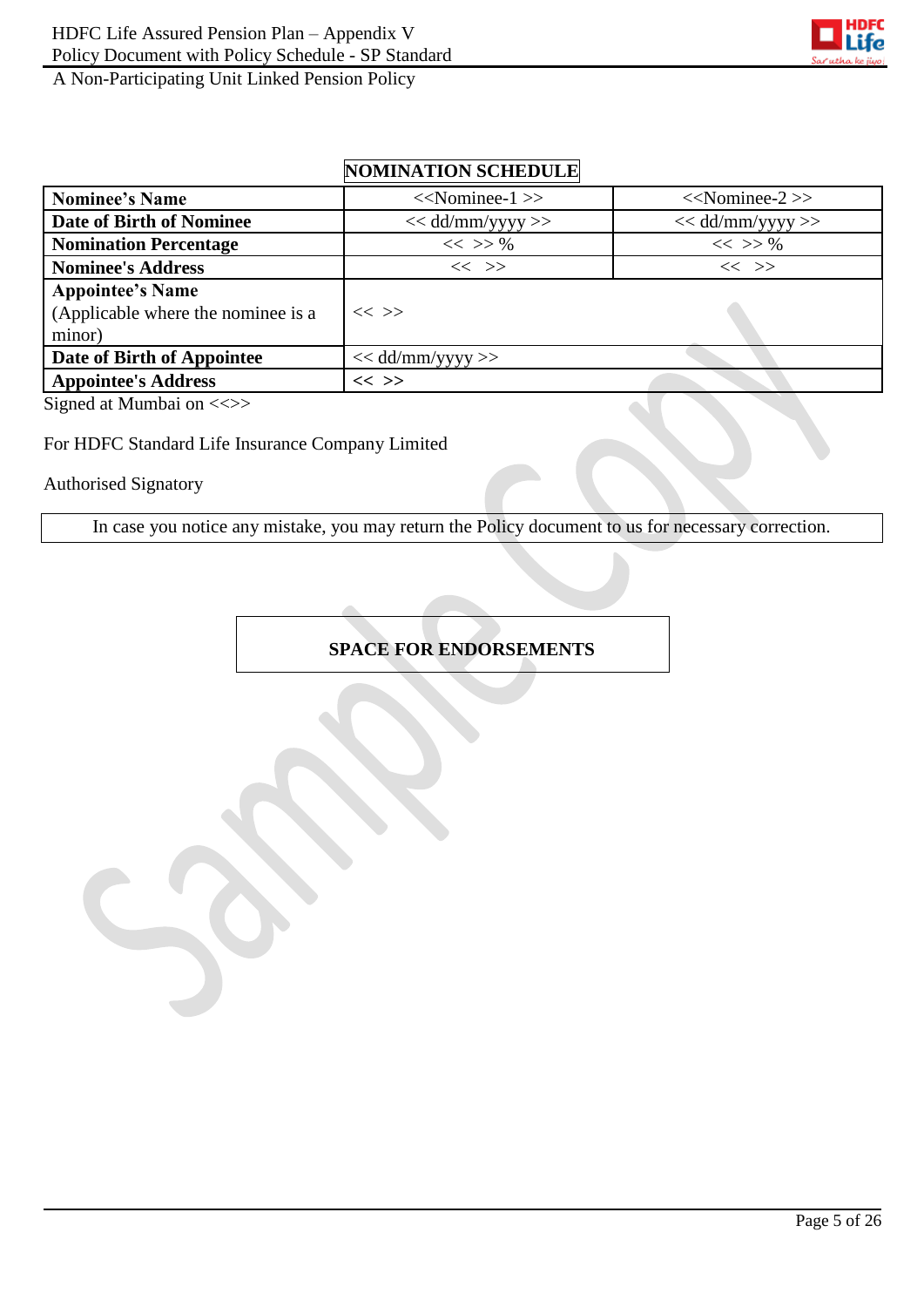

# **NOMINATION SCHEDULE**

| <b>Nominee's Name</b>                                                   | $<<$ Nominee-1 $>>$  | $<<$ Nominee-2 $>>$ |
|-------------------------------------------------------------------------|----------------------|---------------------|
| Date of Birth of Nominee                                                | $<<$ dd/mm/yyyy $>>$ | $<<$ dd/mm/yyyy >>  |
| <b>Nomination Percentage</b>                                            | $<<$ >> %            | $<<$ >> %           |
| <b>Nominee's Address</b>                                                | $<<$ >>              | $<<$ >>             |
| <b>Appointee's Name</b><br>(Applicable where the nominee is a<br>minor) | $<<$ >>              |                     |
| Date of Birth of Appointee                                              | $<<$ dd/mm/yyyy >>   |                     |
| <b>Appointee's Address</b>                                              | $<<$ >>              |                     |

Signed at Mumbai on <<>>

### For HDFC Standard Life Insurance Company Limited

Authorised Signatory

In case you notice any mistake, you may return the Policy document to us for necessary correction.

# **SPACE FOR ENDORSEMENTS**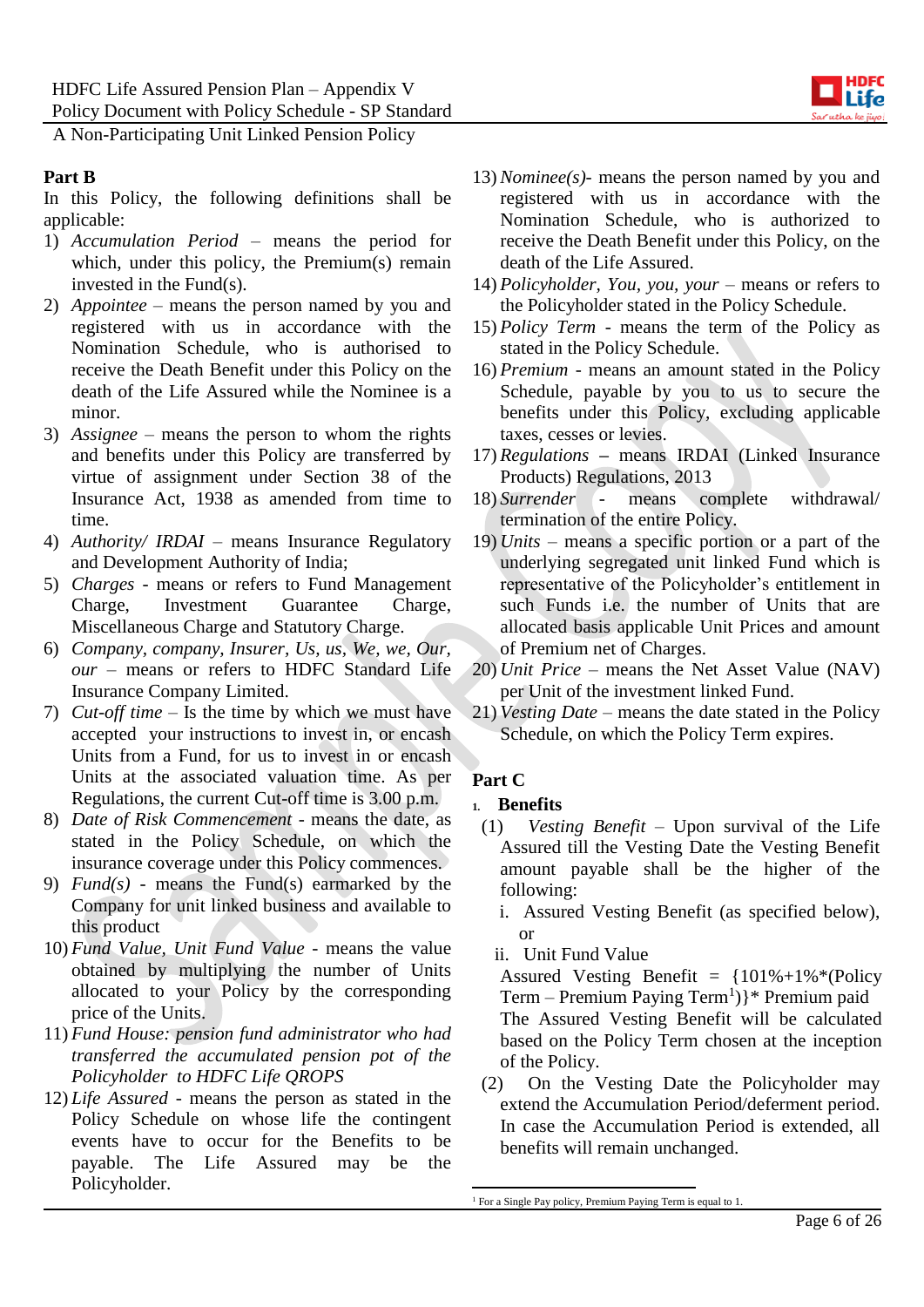

### **Part B**

In this Policy, the following definitions shall be applicable:

- 1) *Accumulation Period* means the period for which, under this policy, the Premium(s) remain invested in the Fund(s).
- 2) *Appointee –* means the person named by you and registered with us in accordance with the Nomination Schedule, who is authorised to receive the Death Benefit under this Policy on the death of the Life Assured while the Nominee is a minor.
- 3) *Assignee*  means the person to whom the rights and benefits under this Policy are transferred by virtue of assignment under Section 38 of the Insurance Act, 1938 as amended from time to time.
- 4) *Authority/ IRDAI* means Insurance Regulatory and Development Authority of India;
- 5) *Charges -* means or refers to Fund Management Charge, Investment Guarantee Charge, Miscellaneous Charge and Statutory Charge.
- 6) *Company, company, Insurer, Us, us, We, we, Our, our* – means or refers to HDFC Standard Life Insurance Company Limited.
- 7) *Cut-off time*  Is the time by which we must have accepted your instructions to invest in, or encash Units from a Fund, for us to invest in or encash Units at the associated valuation time. As per Regulations, the current Cut-off time is 3.00 p.m.
- 8) *Date of Risk Commencement -* means the date, as stated in the Policy Schedule, on which the insurance coverage under this Policy commences.
- 9) *Fund(s)* means the Fund(s) earmarked by the Company for unit linked business and available to this product
- 10) *Fund Value, Unit Fund Value* means the value obtained by multiplying the number of Units allocated to your Policy by the corresponding price of the Units.
- 11) *Fund House: pension fund administrator who had transferred the accumulated pension pot of the Policyholder to HDFC Life QROPS*
- 12) *Life Assured* means the person as stated in the Policy Schedule on whose life the contingent events have to occur for the Benefits to be payable. The Life Assured may be the Policyholder.
- 13) *Nominee(s)-* means the person named by you and registered with us in accordance with the Nomination Schedule, who is authorized to receive the Death Benefit under this Policy, on the death of the Life Assured.
- 14) *Policyholder, You, you, your* means or refers to the Policyholder stated in the Policy Schedule.
- 15) *Policy Term*  means the term of the Policy as stated in the Policy Schedule.
- 16) *Premium* means an amount stated in the Policy Schedule, payable by you to us to secure the benefits under this Policy, excluding applicable taxes, cesses or levies.
- 17) *Regulations* **–** means IRDAI (Linked Insurance Products) Regulations, 2013
- 18) *Surrender* means complete withdrawal/ termination of the entire Policy.
- 19) *Units* means a specific portion or a part of the underlying segregated unit linked Fund which is representative of the Policyholder's entitlement in such Funds i.e. the number of Units that are allocated basis applicable Unit Prices and amount of Premium net of Charges.
- 20) *Unit Price* means the Net Asset Value (NAV) per Unit of the investment linked Fund.
- 21) *Vesting Date –* means the date stated in the Policy Schedule, on which the Policy Term expires.

# **Part C**

- **1. Benefits**
- (1) *Vesting Benefit –* Upon survival of the Life Assured till the Vesting Date the Vesting Benefit amount payable shall be the higher of the following:
	- i. Assured Vesting Benefit (as specified below), or
	- ii. Unit Fund Value

Assured Vesting Benefit =  ${101\% + 1\%}{*}$  (Policy Term - Premium Paying Term<sup>1</sup>)}\* Premium paid The Assured Vesting Benefit will be calculated based on the Policy Term chosen at the inception of the Policy.

(2) On the Vesting Date the Policyholder may extend the Accumulation Period/deferment period. In case the Accumulation Period is extended, all benefits will remain unchanged.

<sup>1</sup> <sup>1</sup> For a Single Pay policy, Premium Paying Term is equal to 1.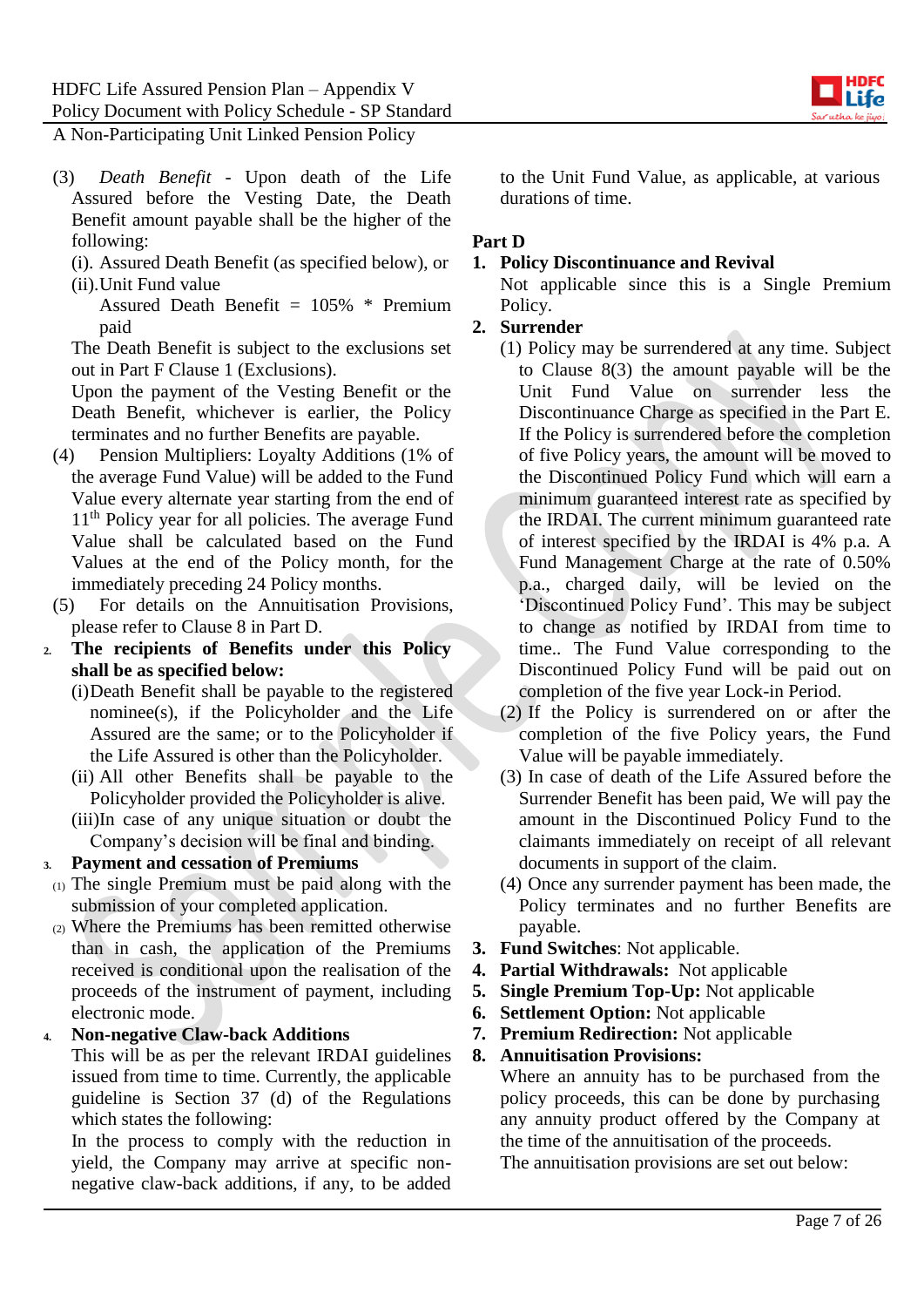

- (3) *Death Benefit* Upon death of the Life Assured before the Vesting Date, the Death Benefit amount payable shall be the higher of the following:
	- (i). Assured Death Benefit (as specified below), or (ii).Unit Fund value

Assured Death Benefit  $= 105\%$  \* Premium paid

The Death Benefit is subject to the exclusions set out in Part F Clause 1 (Exclusions).

Upon the payment of the Vesting Benefit or the Death Benefit, whichever is earlier, the Policy terminates and no further Benefits are payable.

- (4) Pension Multipliers: Loyalty Additions (1% of the average Fund Value) will be added to the Fund Value every alternate year starting from the end of 11<sup>th</sup> Policy year for all policies. The average Fund Value shall be calculated based on the Fund Values at the end of the Policy month, for the immediately preceding 24 Policy months.
- (5) For details on the Annuitisation Provisions, please refer to Clause 8 in Part D.
- **2. The recipients of Benefits under this Policy shall be as specified below:**
	- (i)Death Benefit shall be payable to the registered nominee(s), if the Policyholder and the Life Assured are the same; or to the Policyholder if the Life Assured is other than the Policyholder.
	- (ii) All other Benefits shall be payable to the Policyholder provided the Policyholder is alive.
	- (iii)In case of any unique situation or doubt the Company's decision will be final and binding.

### **3. Payment and cessation of Premiums**

- (1) The single Premium must be paid along with the submission of your completed application.
- (2) Where the Premiums has been remitted otherwise than in cash, the application of the Premiums received is conditional upon the realisation of the proceeds of the instrument of payment, including electronic mode.

### **4. Non-negative Claw-back Additions**

This will be as per the relevant IRDAI guidelines issued from time to time. Currently, the applicable guideline is Section 37 (d) of the Regulations which states the following:

In the process to comply with the reduction in yield, the Company may arrive at specific nonnegative claw-back additions, if any, to be added to the Unit Fund Value, as applicable, at various durations of time.

### **Part D**

### **1. Policy Discontinuance and Revival**

Not applicable since this is a Single Premium Policy.

### **2. Surrender**

- (1) Policy may be surrendered at any time. Subject to Clause 8(3) the amount payable will be the Unit Fund Value on surrender less the Discontinuance Charge as specified in the Part E. If the Policy is surrendered before the completion of five Policy years, the amount will be moved to the Discontinued Policy Fund which will earn a minimum guaranteed interest rate as specified by the IRDAI. The current minimum guaranteed rate of interest specified by the IRDAI is 4% p.a. A Fund Management Charge at the rate of 0.50% p.a., charged daily, will be levied on the 'Discontinued Policy Fund'. This may be subject to change as notified by IRDAI from time to time.. The Fund Value corresponding to the Discontinued Policy Fund will be paid out on completion of the five year Lock-in Period.
- (2) If the Policy is surrendered on or after the completion of the five Policy years, the Fund Value will be payable immediately.
- (3) In case of death of the Life Assured before the Surrender Benefit has been paid, We will pay the amount in the Discontinued Policy Fund to the claimants immediately on receipt of all relevant documents in support of the claim.
- (4) Once any surrender payment has been made, the Policy terminates and no further Benefits are payable.
- **3. Fund Switches**: Not applicable.
- **4. Partial Withdrawals:** Not applicable
- **5. Single Premium Top-Up:** Not applicable
- **6. Settlement Option:** Not applicable
- **7. Premium Redirection:** Not applicable

# **8. Annuitisation Provisions:**

Where an annuity has to be purchased from the policy proceeds, this can be done by purchasing any annuity product offered by the Company at the time of the annuitisation of the proceeds. The annuitisation provisions are set out below: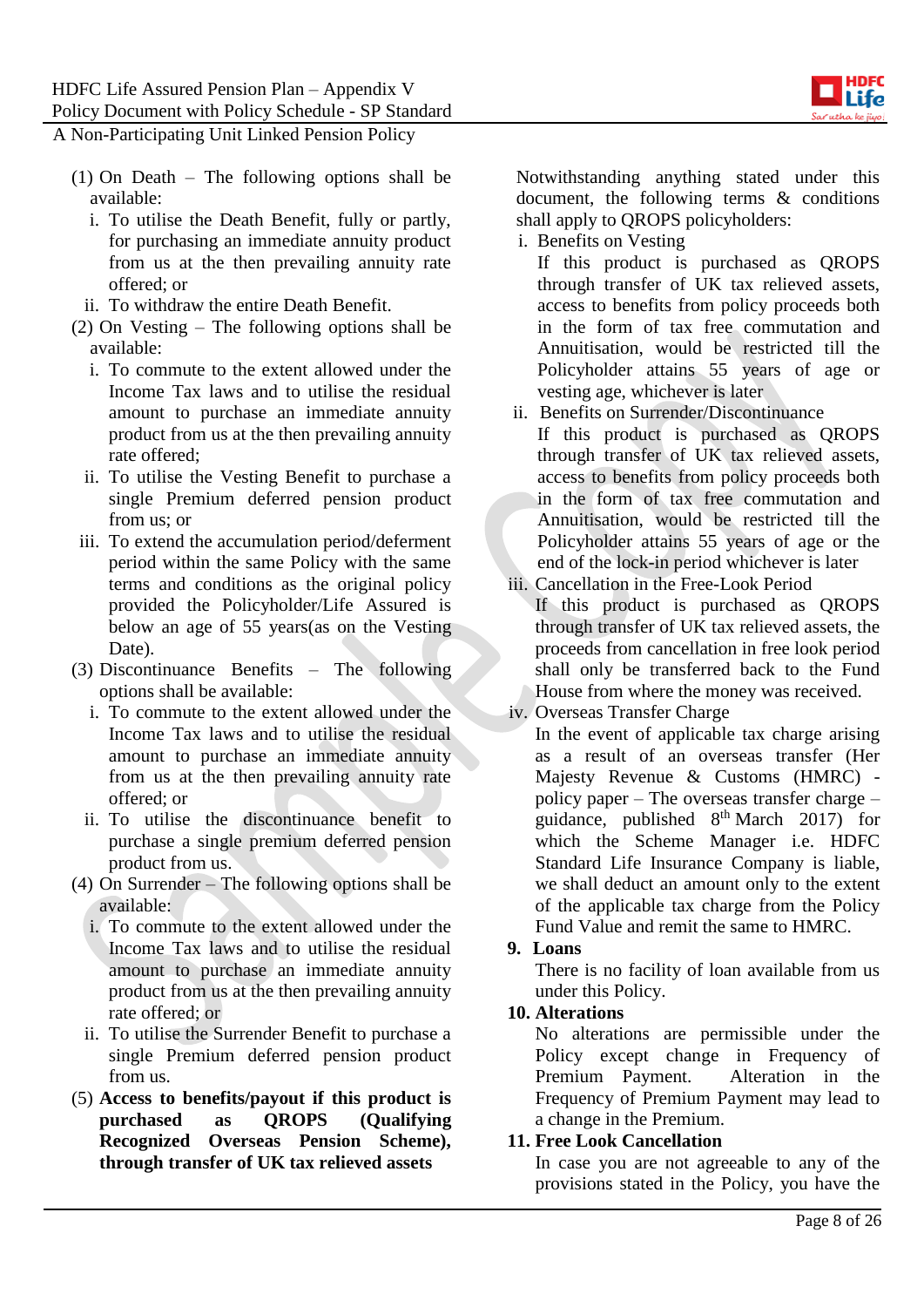

- (1) On Death The following options shall be available:
	- i. To utilise the Death Benefit, fully or partly, for purchasing an immediate annuity product from us at the then prevailing annuity rate offered; or
	- ii. To withdraw the entire Death Benefit.
- (2) On Vesting The following options shall be available:
	- i. To commute to the extent allowed under the Income Tax laws and to utilise the residual amount to purchase an immediate annuity product from us at the then prevailing annuity rate offered;
	- ii. To utilise the Vesting Benefit to purchase a single Premium deferred pension product from us; or
- iii. To extend the accumulation period/deferment period within the same Policy with the same terms and conditions as the original policy provided the Policyholder/Life Assured is below an age of 55 years(as on the Vesting Date).
- (3) Discontinuance Benefits The following options shall be available:
	- i. To commute to the extent allowed under the Income Tax laws and to utilise the residual amount to purchase an immediate annuity from us at the then prevailing annuity rate offered; or
	- ii. To utilise the discontinuance benefit to purchase a single premium deferred pension product from us.
- (4) On Surrender The following options shall be available:
	- i. To commute to the extent allowed under the Income Tax laws and to utilise the residual amount to purchase an immediate annuity product from us at the then prevailing annuity rate offered; or
	- ii. To utilise the Surrender Benefit to purchase a single Premium deferred pension product from us.
- (5) **Access to benefits/payout if this product is purchased as QROPS (Qualifying Recognized Overseas Pension Scheme), through transfer of UK tax relieved assets**

Notwithstanding anything stated under this document, the following terms & conditions shall apply to QROPS policyholders:

- i. Benefits on Vesting
	- If this product is purchased as QROPS through transfer of UK tax relieved assets, access to benefits from policy proceeds both in the form of tax free commutation and Annuitisation, would be restricted till the Policyholder attains 55 years of age or vesting age, whichever is later
- ii. Benefits on Surrender/Discontinuance If this product is purchased as QROPS through transfer of UK tax relieved assets, access to benefits from policy proceeds both in the form of tax free commutation and Annuitisation, would be restricted till the Policyholder attains 55 years of age or the end of the lock-in period whichever is later
- iii. Cancellation in the Free-Look Period If this product is purchased as QROPS through transfer of UK tax relieved assets, the proceeds from cancellation in free look period shall only be transferred back to the Fund House from where the money was received.
- iv. Overseas Transfer Charge

In the event of applicable tax charge arising as a result of an overseas transfer (Her Majesty Revenue & Customs (HMRC) policy paper – The overseas transfer charge – guidance, published  $8<sup>th</sup> March$  2017) for which the Scheme Manager i.e. HDFC Standard Life Insurance Company is liable, we shall deduct an amount only to the extent of the applicable tax charge from the Policy Fund Value and remit the same to HMRC.

### **9. Loans**

There is no facility of loan available from us under this Policy.

### **10. Alterations**

No alterations are permissible under the Policy except change in Frequency of Premium Payment. Alteration in the Frequency of Premium Payment may lead to a change in the Premium.

# **11. Free Look Cancellation**

In case you are not agreeable to any of the provisions stated in the Policy, you have the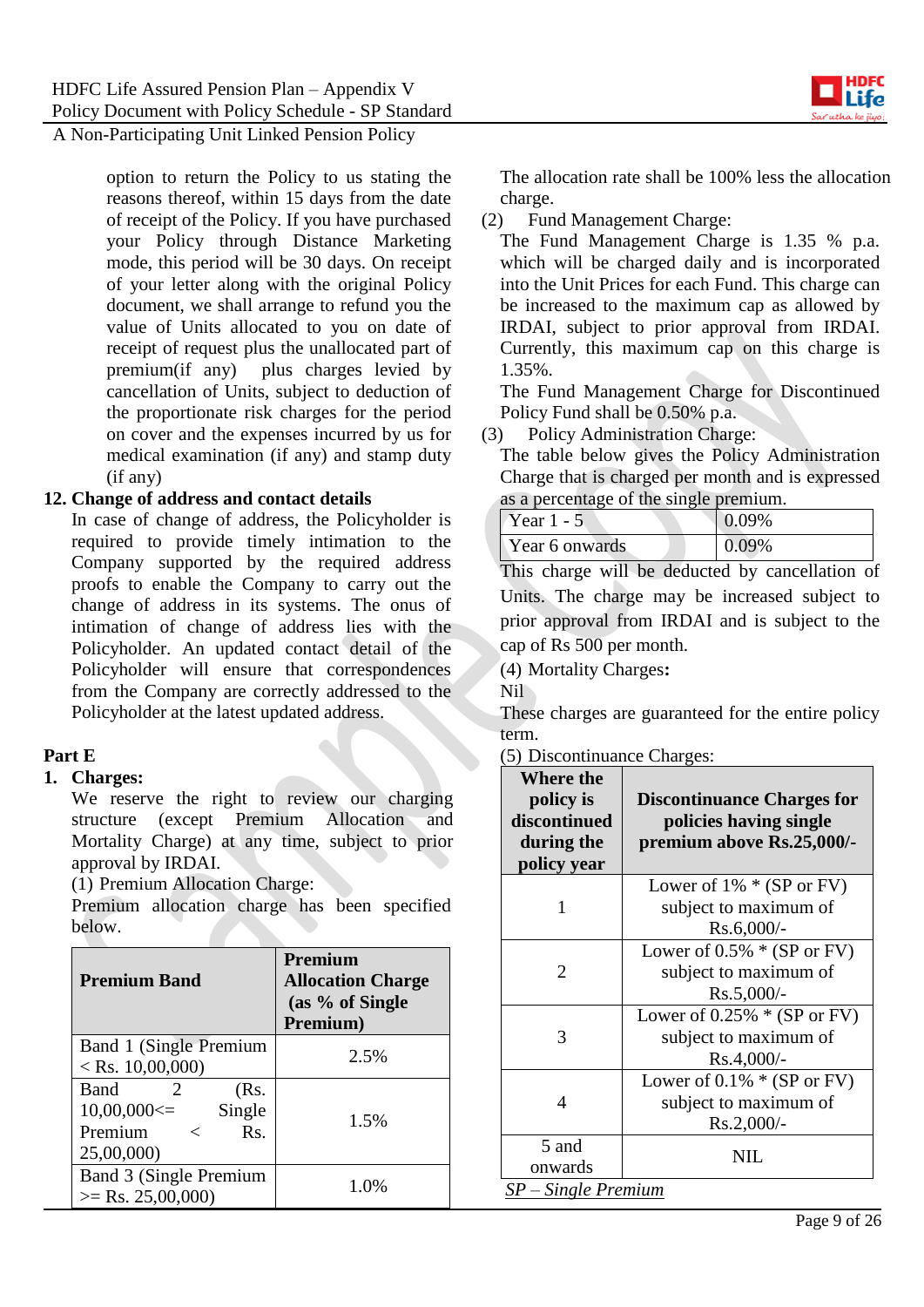option to return the Policy to us stating the reasons thereof, within 15 days from the date of receipt of the Policy. If you have purchased your Policy through Distance Marketing mode, this period will be 30 days. On receipt of your letter along with the original Policy document, we shall arrange to refund you the value of Units allocated to you on date of receipt of request plus the unallocated part of premium(if any) plus charges levied by cancellation of Units, subject to deduction of the proportionate risk charges for the period on cover and the expenses incurred by us for medical examination (if any) and stamp duty (if any)

### **12. Change of address and contact details**

In case of change of address, the Policyholder is required to provide timely intimation to the Company supported by the required address proofs to enable the Company to carry out the change of address in its systems. The onus of intimation of change of address lies with the Policyholder. An updated contact detail of the Policyholder will ensure that correspondences from the Company are correctly addressed to the Policyholder at the latest updated address.

### **Part E**

#### **1. Charges:**

We reserve the right to review our charging structure (except Premium Allocation and Mortality Charge) at any time, subject to prior approval by IRDAI.

(1) Premium Allocation Charge:

Premium allocation charge has been specified below.

| <b>Premium Band</b>                                                                                           | Premium<br><b>Allocation Charge</b><br>(as % of Single<br>Premium) |
|---------------------------------------------------------------------------------------------------------------|--------------------------------------------------------------------|
| Band 1 (Single Premium<br>$<$ Rs. 10,00,000)                                                                  | 2.5%                                                               |
| <b>Band</b><br>2<br>(Rs.<br>$10,00,000 \leq 1$<br>Single<br>Premium<br>$\mathbf{Rs}$ .<br>$\lt$<br>25,00,000) | 1.5%                                                               |
| Band 3 (Single Premium<br>$>=$ Rs. 25,00,000)                                                                 | 1.0%                                                               |

The allocation rate shall be 100% less the allocation charge.

(2) Fund Management Charge:

The Fund Management Charge is 1.35 % p.a. which will be charged daily and is incorporated into the Unit Prices for each Fund. This charge can be increased to the maximum cap as allowed by IRDAI, subject to prior approval from IRDAI. Currently, this maximum cap on this charge is 1.35%.

The Fund Management Charge for Discontinued Policy Fund shall be 0.50% p.a.

(3) Policy Administration Charge:

The table below gives the Policy Administration Charge that is charged per month and is expressed as a percentage of the single premium.

| Year 1 - 5       | 0.09% |
|------------------|-------|
| $Near 6$ onwards | 0.09% |

This charge will be deducted by cancellation of Units. The charge may be increased subject to prior approval from IRDAI and is subject to the cap of Rs 500 per month.

(4) Mortality Charges**:**

Nil

These charges are guaranteed for the entire policy term.

(5) Discontinuance Charges:

| Lower of $1\% * (SP or FV)$<br>subject to maximum of<br>1<br>$Rs.6,000/-$<br>Lower of $0.5\% * (SP or FV)$<br>subject to maximum of<br>2<br>$Rs.5,000/-$<br>Lower of $0.25\% * (SP or FV)$<br>3<br>subject to maximum of<br>$Rs.4,000/-$<br>Lower of $0.1\% * (SP or FV)$<br>subject to maximum of<br>4<br>$Rs.2,000/-$ | <b>Where the</b><br>policy is<br>discontinued<br>during the<br>policy year | <b>Discontinuance Charges for</b><br>policies having single<br>premium above Rs.25,000/- |
|-------------------------------------------------------------------------------------------------------------------------------------------------------------------------------------------------------------------------------------------------------------------------------------------------------------------------|----------------------------------------------------------------------------|------------------------------------------------------------------------------------------|
|                                                                                                                                                                                                                                                                                                                         |                                                                            |                                                                                          |
|                                                                                                                                                                                                                                                                                                                         |                                                                            |                                                                                          |
|                                                                                                                                                                                                                                                                                                                         |                                                                            |                                                                                          |
|                                                                                                                                                                                                                                                                                                                         |                                                                            |                                                                                          |
| NIL.<br>onwards<br>$SP-Single$ Premium                                                                                                                                                                                                                                                                                  | 5 and                                                                      |                                                                                          |

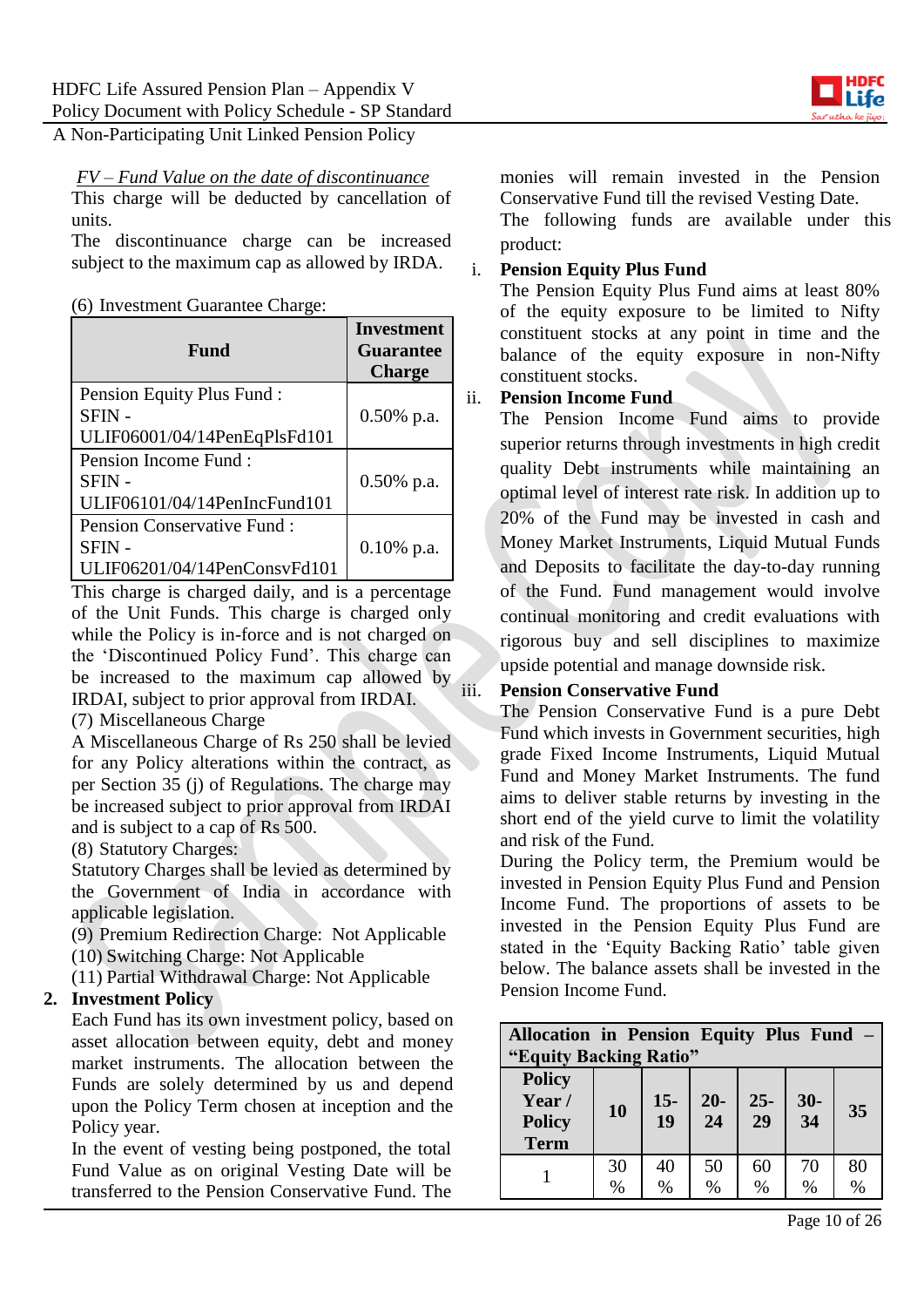

#### *FV – Fund Value on the date of discontinuance*

This charge will be deducted by cancellation of units.

The discontinuance charge can be increased subject to the maximum cap as allowed by IRDA.

(6) Investment Guarantee Charge:

| Fund                                                                      | <b>Investment</b><br><b>Guarantee</b><br><b>Charge</b> |
|---------------------------------------------------------------------------|--------------------------------------------------------|
| Pension Equity Plus Fund:<br><b>SFIN-</b><br>ULIF06001/04/14PenEqPlsFd101 | $0.50\%$ p.a.                                          |
| Pension Income Fund:<br>SFIN-<br>ULIF06101/04/14PenIncFund101             | $0.50\%$ p.a.                                          |
| Pension Conservative Fund:<br>SFIN -<br>ULIF06201/04/14PenConsvFd101      | $0.10\%$ p.a.                                          |

This charge is charged daily, and is a percentage of the Unit Funds. This charge is charged only while the Policy is in-force and is not charged on the 'Discontinued Policy Fund'. This charge can be increased to the maximum cap allowed by IRDAI, subject to prior approval from IRDAI.

### (7) Miscellaneous Charge

A Miscellaneous Charge of Rs 250 shall be levied for any Policy alterations within the contract, as per Section 35 (j) of Regulations. The charge may be increased subject to prior approval from IRDAI and is subject to a cap of Rs 500.

(8) Statutory Charges:

Statutory Charges shall be levied as determined by the Government of India in accordance with applicable legislation.

(9) Premium Redirection Charge: Not Applicable (10) Switching Charge: Not Applicable

(11) Partial Withdrawal Charge: Not Applicable

# **2. Investment Policy**

Each Fund has its own investment policy, based on asset allocation between equity, debt and money market instruments. The allocation between the Funds are solely determined by us and depend upon the Policy Term chosen at inception and the Policy year.

In the event of vesting being postponed, the total Fund Value as on original Vesting Date will be transferred to the Pension Conservative Fund. The

monies will remain invested in the Pension Conservative Fund till the revised Vesting Date.

The following funds are available under this product:

### i. **Pension Equity Plus Fund**

The Pension Equity Plus Fund aims at least 80% of the equity exposure to be limited to Nifty constituent stocks at any point in time and the balance of the equity exposure in non-Nifty constituent stocks.

### ii. **Pension Income Fund**

The Pension Income Fund aims to provide superior returns through investments in high credit quality Debt instruments while maintaining an optimal level of interest rate risk. In addition up to 20% of the Fund may be invested in cash and Money Market Instruments, Liquid Mutual Funds and Deposits to facilitate the day-to-day running of the Fund. Fund management would involve continual monitoring and credit evaluations with rigorous buy and sell disciplines to maximize upside potential and manage downside risk.

### iii. **Pension Conservative Fund**

The Pension Conservative Fund is a pure Debt Fund which invests in Government securities, high grade Fixed Income Instruments, Liquid Mutual Fund and Money Market Instruments. The fund aims to deliver stable returns by investing in the short end of the yield curve to limit the volatility and risk of the Fund.

During the Policy term, the Premium would be invested in Pension Equity Plus Fund and Pension Income Fund. The proportions of assets to be invested in the Pension Equity Plus Fund are stated in the 'Equity Backing Ratio' table given below. The balance assets shall be invested in the Pension Income Fund.

| Allocation in Pension Equity Plus Fund -<br>"Equity Backing Ratio" |            |             |                          |                          |            |            |
|--------------------------------------------------------------------|------------|-------------|--------------------------|--------------------------|------------|------------|
| <b>Policy</b><br>Year/<br><b>Policy</b><br><b>Term</b>             | 10         | $15-$<br>19 | $20-$<br>$\overline{24}$ | $25 -$<br>$\frac{1}{29}$ | $30 - 34$  | 35         |
|                                                                    | 30<br>$\%$ | 40<br>$\%$  | 50<br>$\%$               | 60<br>$\%$               | 70<br>$\%$ | 80<br>$\%$ |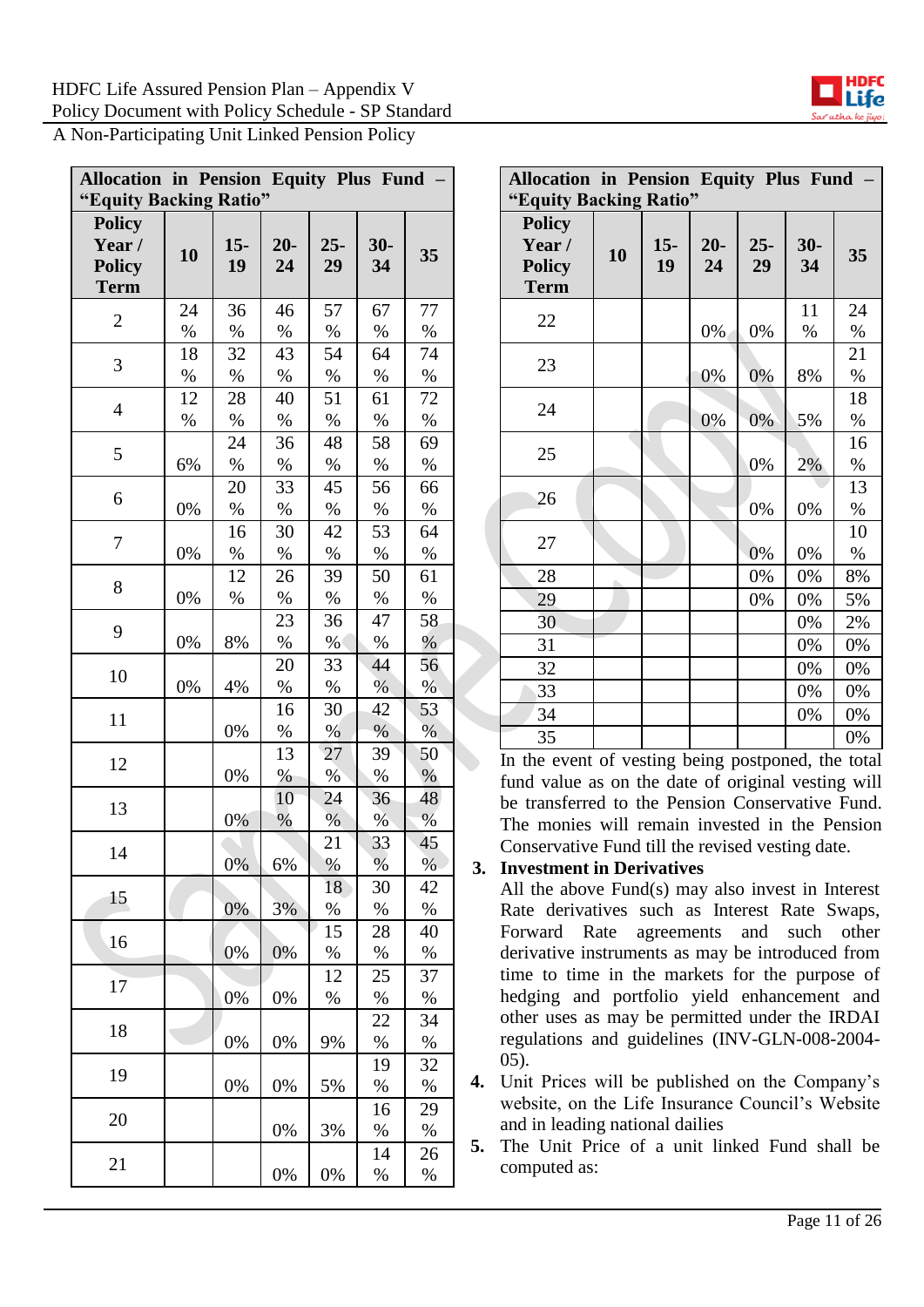

| <b>Allocation in Pension Equity Plus Fund</b>          |            |             |             |              |             |                  |
|--------------------------------------------------------|------------|-------------|-------------|--------------|-------------|------------------|
| "Equity Backing Ratio"                                 |            |             |             |              |             |                  |
| <b>Policy</b><br>Year/<br><b>Policy</b><br><b>Term</b> | 10         | $15-$<br>19 | $20-$<br>24 | $25 -$<br>29 | $30-$<br>34 | 35               |
| $\overline{2}$                                         | 24<br>$\%$ | 36<br>$\%$  | 46<br>$\%$  | 57<br>$\%$   | 67<br>$\%$  | 77<br>$\%$       |
| 3                                                      | 18<br>$\%$ | 32<br>$\%$  | 43<br>$\%$  | 54<br>$\%$   | 64<br>$\%$  | 74<br>$\%$       |
| $\overline{4}$                                         | 12<br>$\%$ | 28<br>$\%$  | 40<br>%     | 51<br>$\%$   | 61<br>$\%$  | 72<br>$\%$       |
| 5                                                      | 6%         | 24<br>$\%$  | 36<br>$\%$  | 48<br>$\%$   | 58<br>$\%$  | 69<br>$\%$       |
| 6                                                      | 0%         | 20<br>$\%$  | 33<br>$\%$  | 45<br>$\%$   | 56<br>$\%$  | 66<br>$\%$       |
| 7                                                      | 0%         | 16<br>$\%$  | 30<br>$\%$  | 42<br>$\%$   | 53<br>$\%$  | 64<br>$\%$       |
| 8                                                      | 0%         | 12<br>$\%$  | 26<br>$\%$  | 39<br>$\%$   | 50<br>$\%$  | 61<br>%          |
| 9                                                      | 0%         | 8%          | 23<br>$\%$  | 36<br>$\%$   | 47<br>$\%$  | 58<br>$\%$       |
| 10                                                     | 0%         | 4%          | 20<br>$\%$  | 33<br>$\%$   | 44<br>$\%$  | 56<br>$\sqrt{0}$ |
| 11                                                     |            | 0%          | 16<br>$\%$  | 30<br>$\%$   | 42<br>$\%$  | 53<br>$\%$       |
| 12                                                     |            | 0%          | 13<br>$\%$  | 27<br>%      | 39<br>%     | 50<br>$\%$       |
| 13                                                     |            | 0%          | 10<br>$\%$  | 24<br>$\%$   | 36<br>%     | 48<br>$\%$       |
| 14                                                     |            | 0%          | 6%          | 21<br>$\%$   | 33<br>$\%$  | 45<br>$\%$       |
| 15                                                     |            | 0%          | 3%          | 18<br>$\%$   | 30<br>%     | 42<br>%          |
| 16                                                     |            | 0%          | 0%          | 15<br>$\%$   | 28<br>$\%$  | 40<br>$\%$       |
| 17                                                     |            | 0%          | 0%          | 12<br>%      | 25<br>%     | 37<br>$\%$       |
| 18                                                     |            | 0%          | 0%          | 9%           | 22<br>%     | 34<br>$\%$       |
| 19                                                     |            | 0%          | 0%          | 5%           | 19<br>$\%$  | 32<br>$\%$       |
| 20                                                     |            |             | 0%          | 3%           | 16<br>%     | 29<br>%          |
| 21                                                     |            |             | 0%          | 0%           | 14<br>%     | 26<br>$\%$       |

| Allocation in Pension Equity Plus Fund -<br>"Equity Backing Ratio" |    |              |             |              |             |            |
|--------------------------------------------------------------------|----|--------------|-------------|--------------|-------------|------------|
| <b>Policy</b><br>Year/<br><b>Policy</b><br><b>Term</b>             | 10 | $15 -$<br>19 | $20-$<br>24 | $25 -$<br>29 | $30-$<br>34 | 35         |
| 22                                                                 |    |              | 0%          | 0%           | 11<br>$\%$  | 24<br>%    |
| 23                                                                 |    |              | 0%          | 0%           | 8%          | 21<br>$\%$ |
| 24                                                                 |    |              | 0%          | 0%           | 5%          | 18<br>$\%$ |
| 25                                                                 |    |              |             | 0%           | 2%          | 16<br>$\%$ |
| 26                                                                 |    |              |             | 0%           | 0%          | 13<br>$\%$ |
| 27                                                                 |    |              |             | 0%           | 0%          | 10<br>$\%$ |
| 28                                                                 |    |              |             | 0%           | 0%          | $8\%$      |
| 29                                                                 |    |              |             | 0%           | 0%          | 5%         |
| 30                                                                 |    |              |             |              | 0%          | 2%         |
| 31                                                                 |    |              |             |              | 0%          | 0%         |
| 32                                                                 |    |              |             |              | 0%          | 0%         |
| 33                                                                 |    |              |             |              | 0%          | 0%         |
| 34                                                                 |    |              |             |              | 0%          | 0%         |
| 35                                                                 |    |              |             |              |             | 0%         |

In the event of vesting being postponed, the total fund value as on the date of original vesting will be transferred to the Pension Conservative Fund. The monies will remain invested in the Pension Conservative Fund till the revised vesting date.

### **3. Investment in Derivatives**

All the above Fund(s) may also invest in Interest Rate derivatives such as Interest Rate Swaps, Forward Rate agreements and such other derivative instruments as may be introduced from time to time in the markets for the purpose of hedging and portfolio yield enhancement and other uses as may be permitted under the IRDAI regulations and guidelines (INV-GLN-008-2004- 05).

- **4.** Unit Prices will be published on the Company's website, on the Life Insurance Council's Website and in leading national dailies
- **5.** The Unit Price of a unit linked Fund shall be computed as:

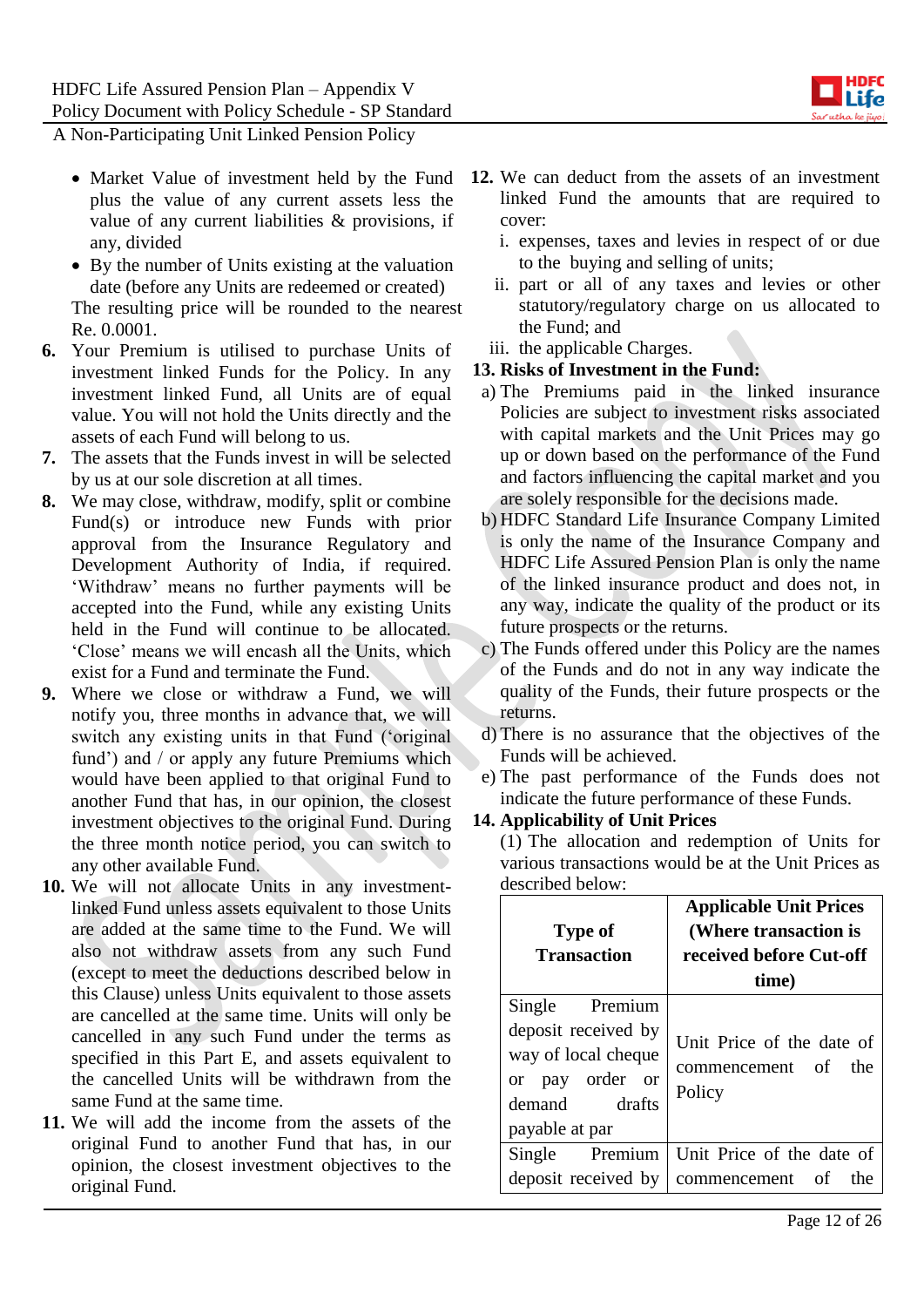

- Market Value of investment held by the Fund plus the value of any current assets less the value of any current liabilities & provisions, if any, divided
- By the number of Units existing at the valuation date (before any Units are redeemed or created) The resulting price will be rounded to the nearest Re. 0.0001.
- **6.** Your Premium is utilised to purchase Units of investment linked Funds for the Policy. In any investment linked Fund, all Units are of equal value. You will not hold the Units directly and the assets of each Fund will belong to us.
- **7.** The assets that the Funds invest in will be selected by us at our sole discretion at all times.
- **8.** We may close, withdraw, modify, split or combine Fund(s) or introduce new Funds with prior approval from the Insurance Regulatory and Development Authority of India, if required. 'Withdraw' means no further payments will be accepted into the Fund, while any existing Units held in the Fund will continue to be allocated. 'Close' means we will encash all the Units, which exist for a Fund and terminate the Fund.
- **9.** Where we close or withdraw a Fund, we will notify you, three months in advance that, we will switch any existing units in that Fund ('original fund') and / or apply any future Premiums which would have been applied to that original Fund to another Fund that has, in our opinion, the closest investment objectives to the original Fund. During the three month notice period, you can switch to any other available Fund.
- **10.** We will not allocate Units in any investmentlinked Fund unless assets equivalent to those Units are added at the same time to the Fund. We will also not withdraw assets from any such Fund (except to meet the deductions described below in this Clause) unless Units equivalent to those assets are cancelled at the same time. Units will only be cancelled in any such Fund under the terms as specified in this Part E, and assets equivalent to the cancelled Units will be withdrawn from the same Fund at the same time.
- **11.** We will add the income from the assets of the original Fund to another Fund that has, in our opinion, the closest investment objectives to the original Fund.
- **12.** We can deduct from the assets of an investment linked Fund the amounts that are required to cover:
	- i. expenses, taxes and levies in respect of or due to the buying and selling of units;
	- ii. part or all of any taxes and levies or other statutory/regulatory charge on us allocated to the Fund; and
	- iii. the applicable Charges.

### **13. Risks of Investment in the Fund:**

- a) The Premiums paid in the linked insurance Policies are subject to investment risks associated with capital markets and the Unit Prices may go up or down based on the performance of the Fund and factors influencing the capital market and you are solely responsible for the decisions made.
- b) HDFC Standard Life Insurance Company Limited is only the name of the Insurance Company and HDFC Life Assured Pension Plan is only the name of the linked insurance product and does not, in any way, indicate the quality of the product or its future prospects or the returns.
- c) The Funds offered under this Policy are the names of the Funds and do not in any way indicate the quality of the Funds, their future prospects or the returns.
- d) There is no assurance that the objectives of the Funds will be achieved.
- e) The past performance of the Funds does not indicate the future performance of these Funds.

# **14. Applicability of Unit Prices**

(1) The allocation and redemption of Units for various transactions would be at the Unit Prices as described below:

| <b>Type of</b><br><b>Transaction</b>                                                                                                | <b>Applicable Unit Prices</b><br>(Where transaction is<br>received before Cut-off<br>time) |  |  |
|-------------------------------------------------------------------------------------------------------------------------------------|--------------------------------------------------------------------------------------------|--|--|
| Single Premium<br>deposit received by<br>way of local cheque<br>pay order or<br><sub>or</sub><br>demand<br>drafts<br>payable at par | Unit Price of the date of<br>commencement of<br>the<br>Policy                              |  |  |
| Single Premium<br>deposit received by                                                                                               | Unit Price of the date of<br>of<br>the<br>commencement                                     |  |  |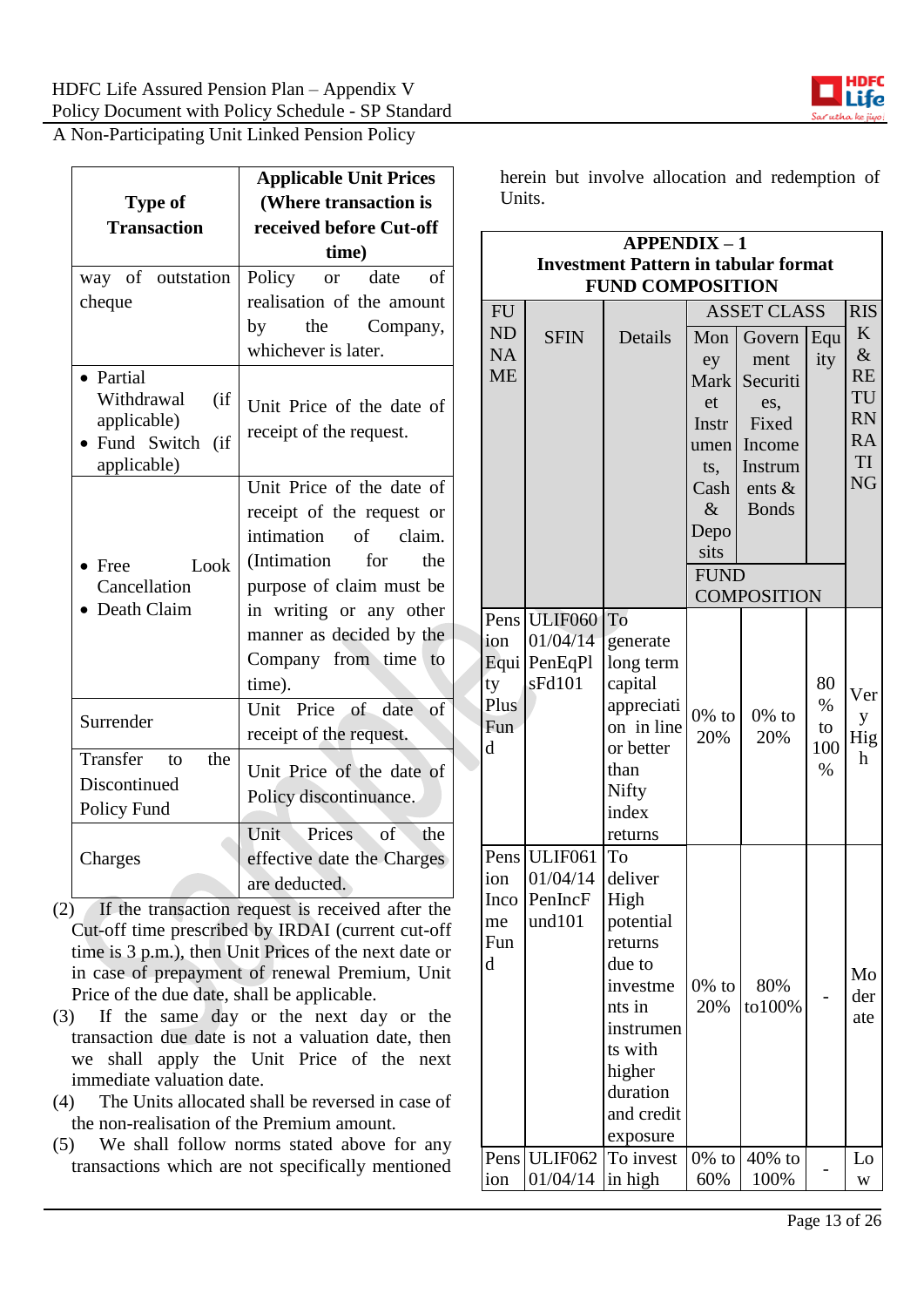

| <b>Type of</b><br><b>Transaction</b>                                                  | <b>Applicable Unit Prices</b><br>(Where transaction is<br>received before Cut-off                                                                                                                                                              | Units.                      | herein b                                 |
|---------------------------------------------------------------------------------------|------------------------------------------------------------------------------------------------------------------------------------------------------------------------------------------------------------------------------------------------|-----------------------------|------------------------------------------|
| way of outstation<br>cheque                                                           | time)<br>Policy<br>$\sigma$ f<br>date<br><b>or</b><br>realisation of the amount<br>by<br>the<br>Company,                                                                                                                                       | <b>FU</b><br><b>ND</b>      | Inv<br><b>SF</b>                         |
| • Partial<br>Withdrawal<br>(i f)<br>applicable)<br>Fund Switch<br>(if)<br>applicable) | whichever is later.<br>Unit Price of the date of<br>receipt of the request.                                                                                                                                                                    | <b>NA</b><br><b>ME</b>      |                                          |
| Look<br>$\bullet$ Free<br>Cancellation<br>Death Claim                                 | Unit Price of the date of<br>receipt of the request or<br>intimation<br>$\sigma$ f<br>claim.<br>(Intimation<br>for<br>the<br>purpose of claim must be<br>in writing or any other<br>manner as decided by the<br>Company from time to<br>time). | Pens<br>ion<br>Equi  <br>ty | ULII<br>01/04<br>PenE<br>sFd1            |
| Surrender                                                                             | Unit Price of date<br><sub>of</sub><br>receipt of the request.                                                                                                                                                                                 | Plus<br>Fun<br>d            |                                          |
| Transfer<br>the<br>to<br>Discontinued<br>Policy Fund                                  | Unit Price of the date of<br>Policy discontinuance.                                                                                                                                                                                            |                             |                                          |
| Charges                                                                               | Prices<br><b>Unit</b><br>of<br>the<br>effective date the Charges<br>are deducted.                                                                                                                                                              | Pens<br>ion<br>$\mathbf{L}$ | <b>ULII</b><br>01/04<br>$D_{\alpha}$ $L$ |

- (2) If the transaction request is received after the Cut-off time prescribed by IRDAI (current cut-off time is 3 p.m.), then Unit Prices of the next date or in case of prepayment of renewal Premium, Unit Price of the due date, shall be applicable.
- (3) If the same day or the next day or the transaction due date is not a valuation date, then we shall apply the Unit Price of the next immediate valuation date.
- (4) The Units allocated shall be reversed in case of the non-realisation of the Premium amount.
- (5) We shall follow norms stated above for any transactions which are not specifically mentioned

ut involve allocation and redemption of

| <b>APPENDIX-1</b>                                                      |                                                             |                                                                                                                                                       |                                                                                        |                                                                                              |                                 |                                                                                  |
|------------------------------------------------------------------------|-------------------------------------------------------------|-------------------------------------------------------------------------------------------------------------------------------------------------------|----------------------------------------------------------------------------------------|----------------------------------------------------------------------------------------------|---------------------------------|----------------------------------------------------------------------------------|
| <b>Investment Pattern in tabular format</b><br><b>FUND COMPOSITION</b> |                                                             |                                                                                                                                                       |                                                                                        |                                                                                              |                                 |                                                                                  |
| <b>FU</b><br><b>ASSET CLASS</b>                                        |                                                             |                                                                                                                                                       |                                                                                        |                                                                                              |                                 | <b>RIS</b>                                                                       |
| <b>ND</b><br><b>NA</b><br><b>ME</b>                                    | <b>SFIN</b>                                                 | Details                                                                                                                                               | Mon<br>ey<br><b>Mark</b><br>et<br>Instr<br>umen<br>ts,<br>Cash<br>$\&$<br>Depo<br>sits | Govern<br>ment<br>Securiti<br>es,<br>Fixed<br>Income<br>Instrum<br>ents $\&$<br><b>Bonds</b> | Equ<br>ity                      | K<br>$\&$<br><b>RE</b><br>TU<br><b>RN</b><br><b>RA</b><br><b>TI</b><br><b>NG</b> |
|                                                                        |                                                             |                                                                                                                                                       | <b>FUND</b>                                                                            |                                                                                              |                                 |                                                                                  |
|                                                                        |                                                             |                                                                                                                                                       |                                                                                        | <b>COMPOSITION</b>                                                                           |                                 |                                                                                  |
| Pens<br>ion<br>Equi<br>ty<br>Plus<br>Fun<br>d                          | <b>ULIF060</b><br>01/04/14<br>PenEqPl<br>sFd101             | To<br>generate<br>long term<br>capital<br>appreciati<br>on in line<br>or better<br>than<br>Nifty<br>index<br>returns                                  | $0\%$ to<br>20%                                                                        | $0\%$ to<br>20%                                                                              | 80<br>$\%$<br>to<br>100<br>$\%$ | Ver<br>y<br>Hig<br>h                                                             |
| Pens<br>ion<br>Inco<br>me<br>Fun<br>d                                  | <b>ULIF061</b><br>01/04/14<br>PenIncF<br>und <sub>101</sub> | To<br>deliver<br>High<br>potential<br>returns<br>due to<br>investme<br>nts in<br>instrumen<br>ts with<br>higher<br>duration<br>and credit<br>exposure | $0\%$ to<br>20%                                                                        | 80%<br>to100%                                                                                |                                 | Mo<br>der<br>ate                                                                 |
| Pens                                                                   | <b>ULIF062</b>                                              | To invest                                                                                                                                             | $0\%$ to                                                                               | 40% to                                                                                       |                                 | Lo                                                                               |
| ion                                                                    | 01/04/14                                                    | in high                                                                                                                                               | 60%                                                                                    | 100%                                                                                         |                                 | W                                                                                |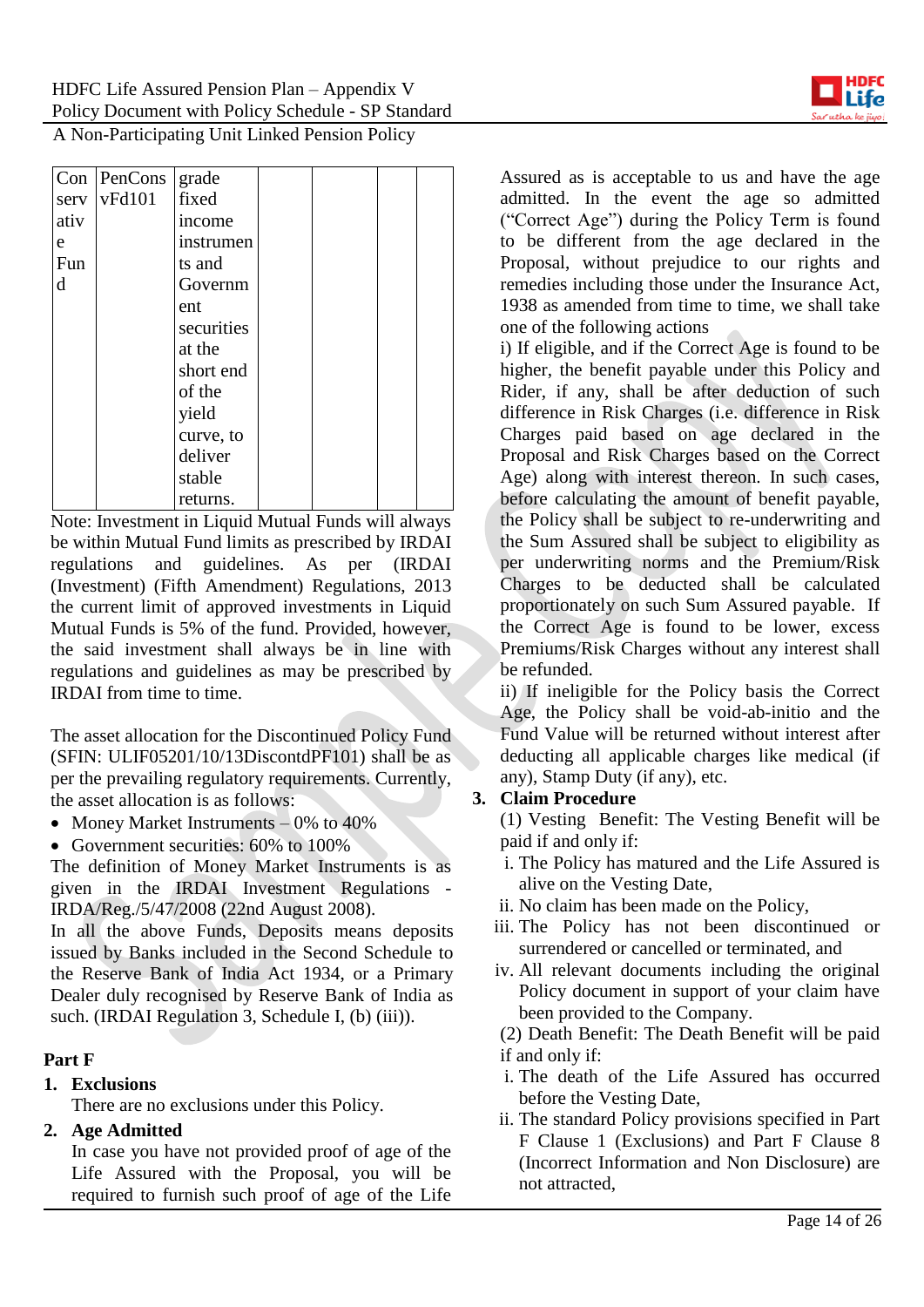

| Con  | PenCons | grade      |  |  |
|------|---------|------------|--|--|
| serv | vFd101  | fixed      |  |  |
| ativ |         | income     |  |  |
| e    |         | instrumen  |  |  |
| Fun  |         | ts and     |  |  |
| d    |         | Governm    |  |  |
|      |         | ent        |  |  |
|      |         | securities |  |  |
|      |         | at the     |  |  |
|      |         | short end  |  |  |
|      |         | of the     |  |  |
|      |         | yield      |  |  |
|      |         | curve, to  |  |  |
|      |         | deliver    |  |  |
|      |         | stable     |  |  |
|      |         | returns.   |  |  |

Note: Investment in Liquid Mutual Funds will always be within Mutual Fund limits as prescribed by IRDAI regulations and guidelines. As per (IRDAI (Investment) (Fifth Amendment) Regulations, 2013 the current limit of approved investments in Liquid Mutual Funds is 5% of the fund. Provided, however, the said investment shall always be in line with regulations and guidelines as may be prescribed by IRDAI from time to time.

The asset allocation for the Discontinued Policy Fund (SFIN: ULIF05201/10/13DiscontdPF101) shall be as per the prevailing regulatory requirements. Currently, the asset allocation is as follows:

- Money Market Instruments  $-0\%$  to 40%
- Government securities: 60% to 100%

The definition of Money Market Instruments is as given in the IRDAI Investment Regulations - IRDA/Reg./5/47/2008 (22nd August 2008).

In all the above Funds, Deposits means deposits issued by Banks included in the Second Schedule to the Reserve Bank of India Act 1934, or a Primary Dealer duly recognised by Reserve Bank of India as such. (IRDAI Regulation 3, Schedule I, (b) (iii)).

### **Part F**

### **1. Exclusions**

There are no exclusions under this Policy.

### **2. Age Admitted**

In case you have not provided proof of age of the Life Assured with the Proposal, you will be required to furnish such proof of age of the Life Assured as is acceptable to us and have the age admitted. In the event the age so admitted ("Correct Age") during the Policy Term is found to be different from the age declared in the Proposal, without prejudice to our rights and remedies including those under the Insurance Act, 1938 as amended from time to time, we shall take one of the following actions

i) If eligible, and if the Correct Age is found to be higher, the benefit payable under this Policy and Rider, if any, shall be after deduction of such difference in Risk Charges (i.e. difference in Risk Charges paid based on age declared in the Proposal and Risk Charges based on the Correct Age) along with interest thereon. In such cases, before calculating the amount of benefit payable, the Policy shall be subject to re-underwriting and the Sum Assured shall be subject to eligibility as per underwriting norms and the Premium/Risk Charges to be deducted shall be calculated proportionately on such Sum Assured payable. If the Correct Age is found to be lower, excess Premiums/Risk Charges without any interest shall be refunded.

ii) If ineligible for the Policy basis the Correct Age, the Policy shall be void-ab-initio and the Fund Value will be returned without interest after deducting all applicable charges like medical (if any), Stamp Duty (if any), etc.

### **3. Claim Procedure**

(1) Vesting Benefit: The Vesting Benefit will be paid if and only if:

- i. The Policy has matured and the Life Assured is alive on the Vesting Date,
- ii. No claim has been made on the Policy,
- iii. The Policy has not been discontinued or surrendered or cancelled or terminated, and
- iv. All relevant documents including the original Policy document in support of your claim have been provided to the Company.

(2) Death Benefit: The Death Benefit will be paid if and only if:

- i. The death of the Life Assured has occurred before the Vesting Date,
- ii. The standard Policy provisions specified in Part F Clause 1 (Exclusions) and Part F Clause 8 (Incorrect Information and Non Disclosure) are not attracted,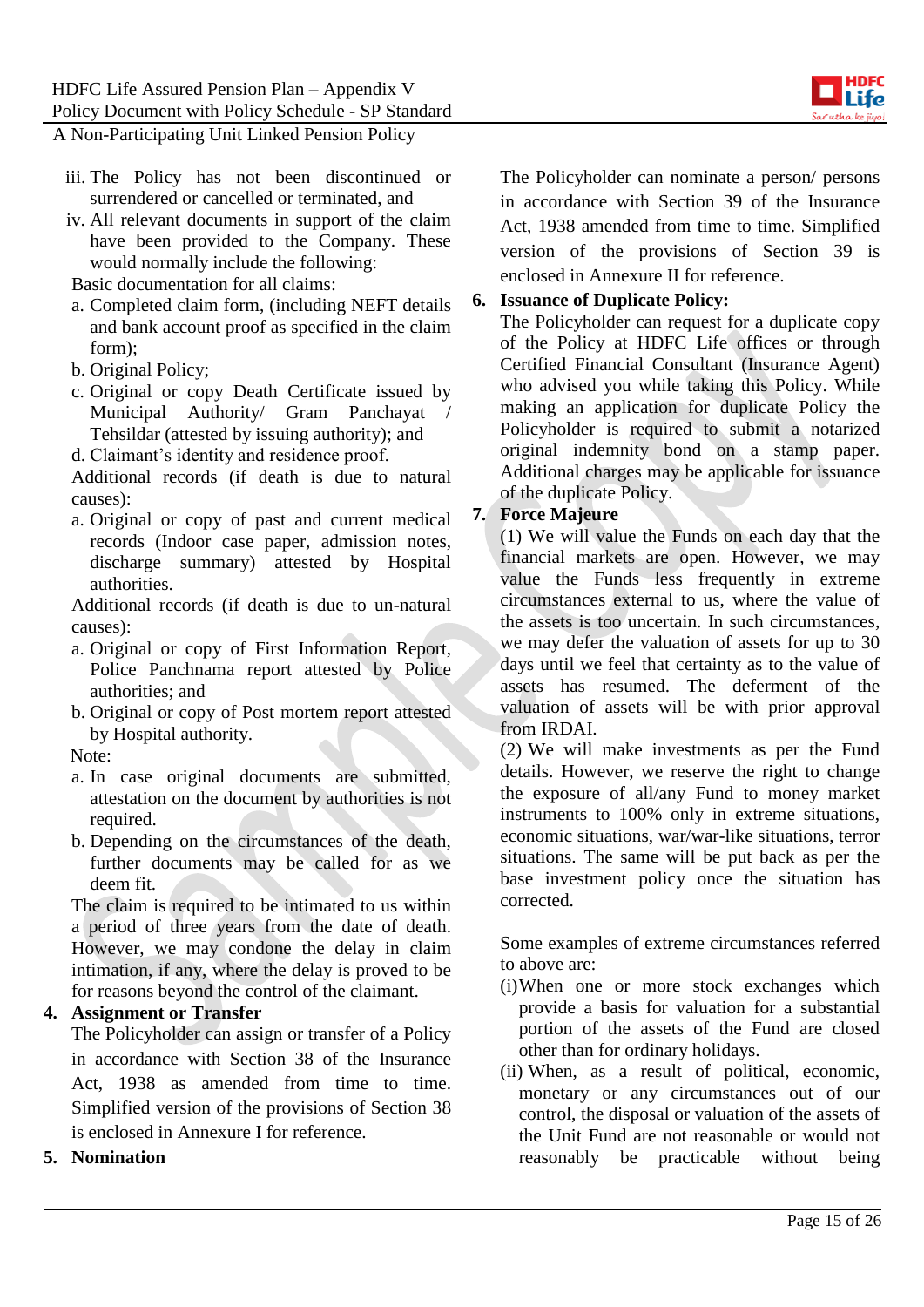

- iii. The Policy has not been discontinued or surrendered or cancelled or terminated, and
- iv. All relevant documents in support of the claim have been provided to the Company. These would normally include the following:

Basic documentation for all claims:

- a. Completed claim form, (including NEFT details and bank account proof as specified in the claim form);
- b. Original Policy;
- c. Original or copy Death Certificate issued by Municipal Authority/ Gram Panchayat / Tehsildar (attested by issuing authority); and
- d. Claimant's identity and residence proof.

Additional records (if death is due to natural causes):

a. Original or copy of past and current medical records (Indoor case paper, admission notes, discharge summary) attested by Hospital authorities.

Additional records (if death is due to un-natural causes):

- a. Original or copy of First Information Report, Police Panchnama report attested by Police authorities; and
- b. Original or copy of Post mortem report attested by Hospital authority.

### Note:

- a. In case original documents are submitted, attestation on the document by authorities is not required.
- b. Depending on the circumstances of the death, further documents may be called for as we deem fit.

The claim is required to be intimated to us within a period of three years from the date of death. However, we may condone the delay in claim intimation, if any, where the delay is proved to be for reasons beyond the control of the claimant.

### **4. Assignment or Transfer**

The Policyholder can assign or transfer of a Policy in accordance with Section 38 of the Insurance Act, 1938 as amended from time to time. Simplified version of the provisions of Section 38 is enclosed in Annexure I for reference.

### **5. Nomination**

The Policyholder can nominate a person/ persons in accordance with Section 39 of the Insurance Act, 1938 amended from time to time. Simplified version of the provisions of Section 39 is enclosed in Annexure II for reference.

### **6. Issuance of Duplicate Policy:**

The Policyholder can request for a duplicate copy of the Policy at HDFC Life offices or through Certified Financial Consultant (Insurance Agent) who advised you while taking this Policy. While making an application for duplicate Policy the Policyholder is required to submit a notarized original indemnity bond on a stamp paper. Additional charges may be applicable for issuance of the duplicate Policy.

### **7. Force Majeure**

(1) We will value the Funds on each day that the financial markets are open. However, we may value the Funds less frequently in extreme circumstances external to us, where the value of the assets is too uncertain. In such circumstances, we may defer the valuation of assets for up to 30 days until we feel that certainty as to the value of assets has resumed. The deferment of the valuation of assets will be with prior approval from IRDAI.

(2) We will make investments as per the Fund details. However, we reserve the right to change the exposure of all/any Fund to money market instruments to 100% only in extreme situations, economic situations, war/war-like situations, terror situations. The same will be put back as per the base investment policy once the situation has corrected.

Some examples of extreme circumstances referred to above are:

- (i)When one or more stock exchanges which provide a basis for valuation for a substantial portion of the assets of the Fund are closed other than for ordinary holidays.
- (ii) When, as a result of political, economic, monetary or any circumstances out of our control, the disposal or valuation of the assets of the Unit Fund are not reasonable or would not reasonably be practicable without being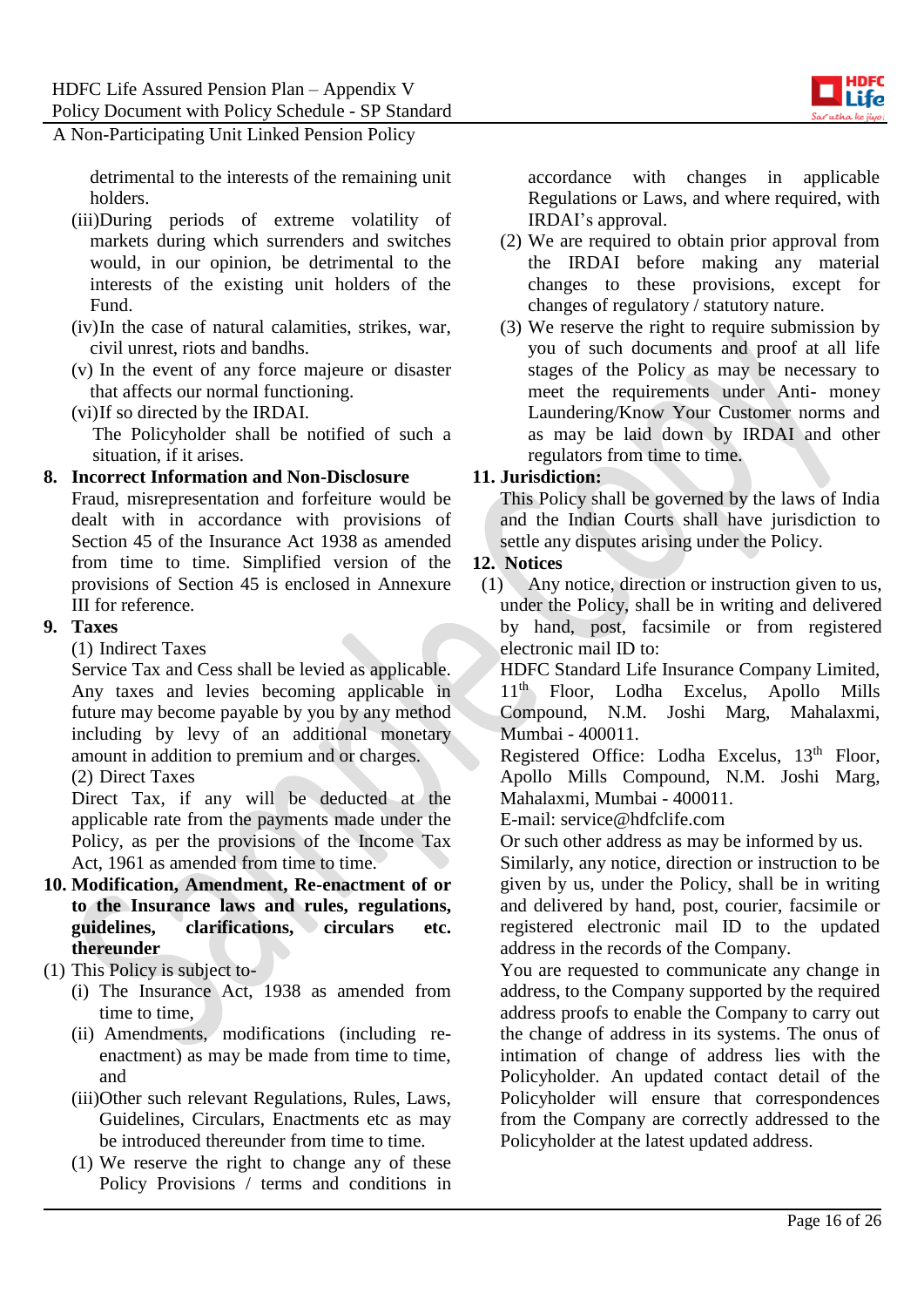

detrimental to the interests of the remaining unit holders.

- (iii)During periods of extreme volatility of markets during which surrenders and switches would, in our opinion, be detrimental to the interests of the existing unit holders of the Fund.
- (iv)In the case of natural calamities, strikes, war, civil unrest, riots and bandhs.
- (v) In the event of any force majeure or disaster that affects our normal functioning.
- (vi)If so directed by the IRDAI.

The Policyholder shall be notified of such a situation, if it arises.

### **8. Incorrect Information and Non-Disclosure**

Fraud, misrepresentation and forfeiture would be dealt with in accordance with provisions of Section 45 of the Insurance Act 1938 as amended from time to time. Simplified version of the provisions of Section 45 is enclosed in Annexure III for reference.

### **9. Taxes**

(1) Indirect Taxes

Service Tax and Cess shall be levied as applicable. Any taxes and levies becoming applicable in future may become payable by you by any method including by levy of an additional monetary amount in addition to premium and or charges.

(2) Direct Taxes

Direct Tax, if any will be deducted at the applicable rate from the payments made under the Policy, as per the provisions of the Income Tax Act, 1961 as amended from time to time.

- **10. Modification, Amendment, Re-enactment of or to the Insurance laws and rules, regulations, guidelines, clarifications, circulars etc. thereunder**
- (1) This Policy is subject to-
	- (i) The Insurance Act, 1938 as amended from time to time,
	- (ii) Amendments, modifications (including reenactment) as may be made from time to time, and
	- (iii)Other such relevant Regulations, Rules, Laws, Guidelines, Circulars, Enactments etc as may be introduced thereunder from time to time.
	- (1) We reserve the right to change any of these Policy Provisions / terms and conditions in

accordance with changes in applicable Regulations or Laws, and where required, with IRDAI's approval.

- (2) We are required to obtain prior approval from the IRDAI before making any material changes to these provisions, except for changes of regulatory / statutory nature.
- (3) We reserve the right to require submission by you of such documents and proof at all life stages of the Policy as may be necessary to meet the requirements under Anti- money Laundering/Know Your Customer norms and as may be laid down by IRDAI and other regulators from time to time.

### **11. Jurisdiction:**

This Policy shall be governed by the laws of India and the Indian Courts shall have jurisdiction to settle any disputes arising under the Policy.

### **12. Notices**

(1) Any notice, direction or instruction given to us, under the Policy, shall be in writing and delivered by hand, post, facsimile or from registered electronic mail ID to:

HDFC Standard Life Insurance Company Limited, 11th Floor, Lodha Excelus, Apollo Mills Compound, N.M. Joshi Marg, Mahalaxmi, Mumbai - 400011.

Registered Office: Lodha Excelus, 13<sup>th</sup> Floor, Apollo Mills Compound, N.M. Joshi Marg, Mahalaxmi, Mumbai - 400011.

E-mail: service@hdfclife.com

Or such other address as may be informed by us.

Similarly, any notice, direction or instruction to be given by us, under the Policy, shall be in writing and delivered by hand, post, courier, facsimile or registered electronic mail ID to the updated address in the records of the Company.

You are requested to communicate any change in address, to the Company supported by the required address proofs to enable the Company to carry out the change of address in its systems. The onus of intimation of change of address lies with the Policyholder. An updated contact detail of the Policyholder will ensure that correspondences from the Company are correctly addressed to the Policyholder at the latest updated address.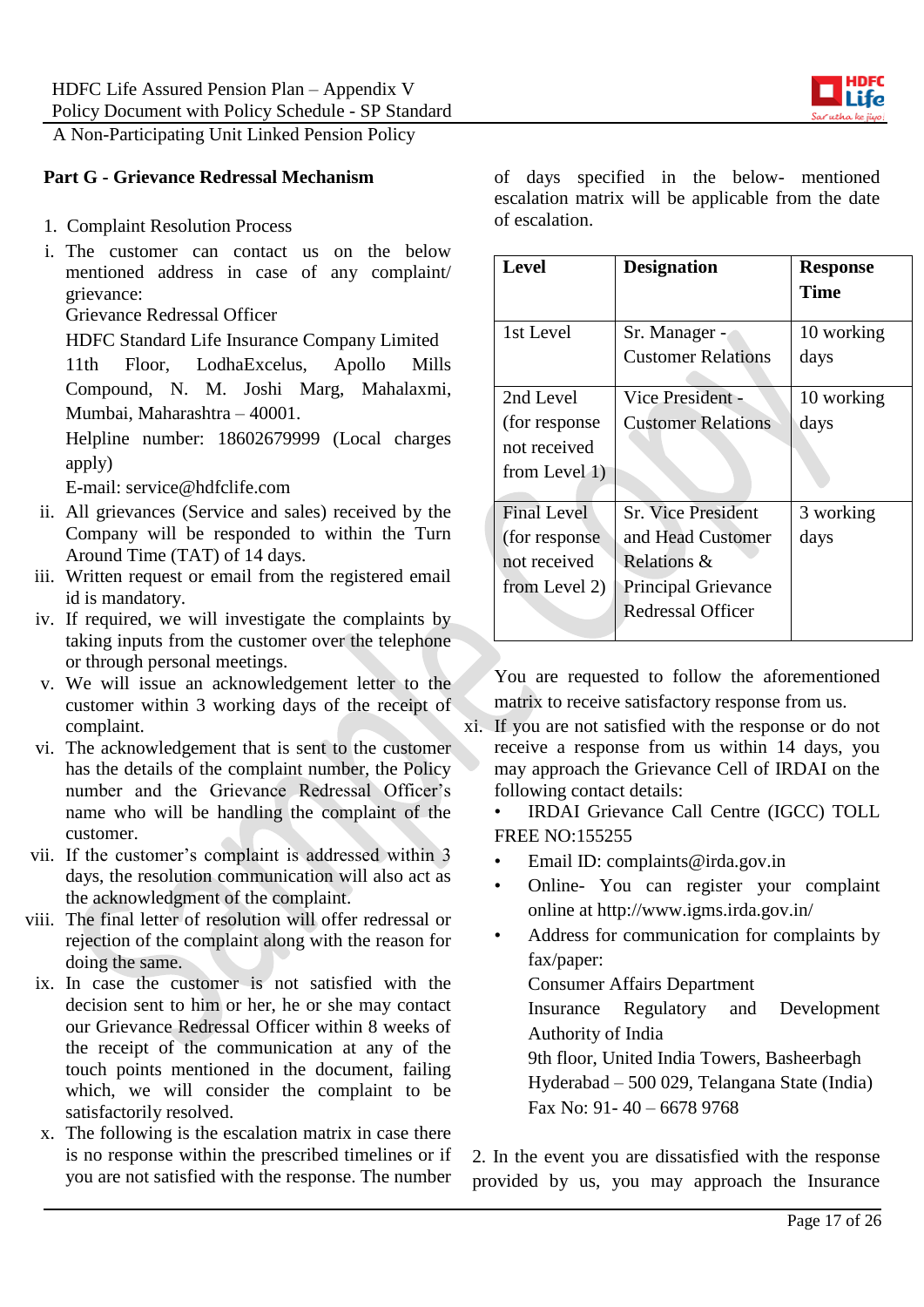

### **Part G - Grievance Redressal Mechanism**

- 1. Complaint Resolution Process
- i. The customer can contact us on the below mentioned address in case of any complaint/ grievance:

Grievance Redressal Officer

HDFC Standard Life Insurance Company Limited

11th Floor, LodhaExcelus, Apollo Mills Compound, N. M. Joshi Marg, Mahalaxmi, Mumbai, Maharashtra – 40001.

Helpline number: 18602679999 (Local charges apply)

E-mail: service@hdfclife.com

- ii. All grievances (Service and sales) received by the Company will be responded to within the Turn Around Time (TAT) of 14 days.
- iii. Written request or email from the registered email id is mandatory.
- iv. If required, we will investigate the complaints by taking inputs from the customer over the telephone or through personal meetings.
- v. We will issue an acknowledgement letter to the customer within 3 working days of the receipt of complaint.
- vi. The acknowledgement that is sent to the customer has the details of the complaint number, the Policy number and the Grievance Redressal Officer's name who will be handling the complaint of the customer.
- vii. If the customer's complaint is addressed within 3 days, the resolution communication will also act as the acknowledgment of the complaint.
- viii. The final letter of resolution will offer redressal or rejection of the complaint along with the reason for doing the same.
	- ix. In case the customer is not satisfied with the decision sent to him or her, he or she may contact our Grievance Redressal Officer within 8 weeks of the receipt of the communication at any of the touch points mentioned in the document, failing which, we will consider the complaint to be satisfactorily resolved.
	- x. The following is the escalation matrix in case there is no response within the prescribed timelines or if you are not satisfied with the response. The number

of days specified in the below- mentioned escalation matrix will be applicable from the date of escalation.

| <b>Level</b>       | <b>Designation</b>         | <b>Response</b><br>Time |
|--------------------|----------------------------|-------------------------|
| 1st Level          | Sr. Manager -              | 10 working              |
|                    | <b>Customer Relations</b>  | days                    |
| 2nd Level          | Vice President -           | 10 working              |
| (for response)     | <b>Customer Relations</b>  | days                    |
| not received       |                            |                         |
| from Level $1)$    |                            |                         |
| <b>Final Level</b> | <b>Sr.</b> Vice President  | 3 working               |
| (for response)     | and Head Customer          | days                    |
| not received       | Relations &                |                         |
| from Level 2)      | <b>Principal Grievance</b> |                         |
|                    | Redressal Officer          |                         |

You are requested to follow the aforementioned matrix to receive satisfactory response from us.

xi. If you are not satisfied with the response or do not receive a response from us within 14 days, you may approach the Grievance Cell of IRDAI on the following contact details:

• IRDAI Grievance Call Centre (IGCC) TOLL FREE NO:155255

- Email ID: complaints@irda.gov.in
- Online- You can register your complaint online at http://www.igms.irda.gov.in/
- Address for communication for complaints by fax/paper:

Consumer Affairs Department

Insurance Regulatory and Development Authority of India

9th floor, United India Towers, Basheerbagh Hyderabad – 500 029, Telangana State (India) Fax No:  $91 - 40 - 66789768$ 

2. In the event you are dissatisfied with the response provided by us, you may approach the Insurance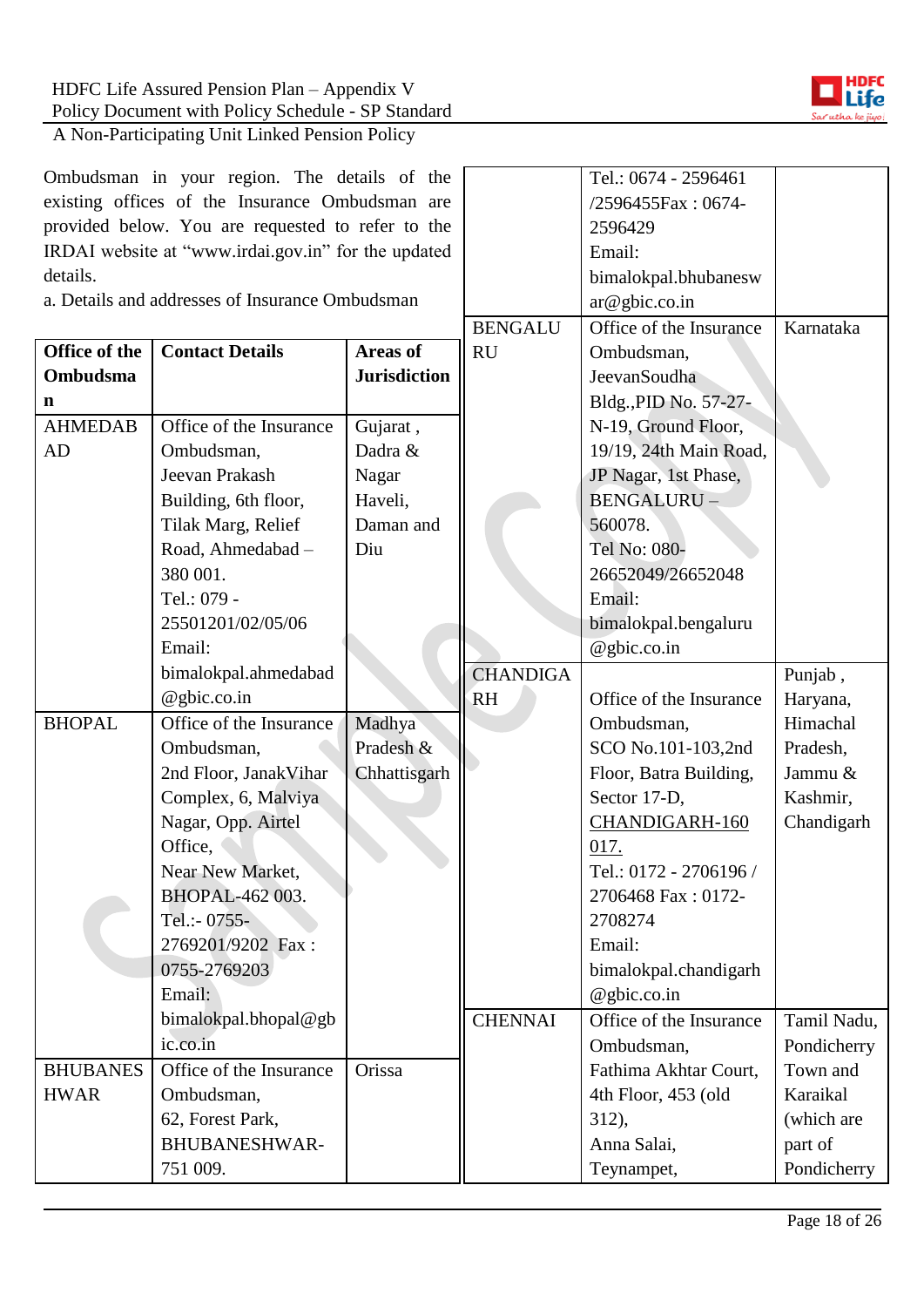Ombudsman in your region. The details of the existing offices of the Insurance Ombudsman are provided below. You are requested to refer to the IRDAI website at "www.irdai.gov.in" for the updated details.

| a. Details and addresses of Insurance Ombudsman |                         |                     | ar@gbic.co.in           |                         |             |
|-------------------------------------------------|-------------------------|---------------------|-------------------------|-------------------------|-------------|
|                                                 |                         | <b>BENGALU</b>      | Office of the Insurance | Karnataka               |             |
| Office of the                                   | <b>Contact Details</b>  | <b>Areas of</b>     | <b>RU</b>               | Ombudsman,              |             |
| Ombudsma                                        |                         | <b>Jurisdiction</b> |                         | JeevanSoudha            |             |
| n                                               |                         |                     |                         | Bldg., PID No. 57-27-   |             |
| <b>AHMEDAB</b>                                  | Office of the Insurance | Gujarat,            |                         | N-19, Ground Floor,     |             |
| AD                                              | Ombudsman,              | Dadra &             |                         | 19/19, 24th Main Road,  |             |
|                                                 | Jeevan Prakash          | Nagar               |                         | JP Nagar, 1st Phase,    |             |
|                                                 | Building, 6th floor,    | Haveli,             |                         | <b>BENGALURU-</b>       |             |
|                                                 | Tilak Marg, Relief      | Daman and           |                         | 560078.                 |             |
|                                                 | Road, Ahmedabad -       | Diu                 |                         | Tel No: 080-            |             |
|                                                 | 380 001.                |                     |                         | 26652049/26652048       |             |
|                                                 | Tel.: 079 -             |                     |                         | Email:                  |             |
|                                                 | 25501201/02/05/06       |                     |                         | bimalokpal.bengaluru    |             |
|                                                 | Email:                  |                     |                         | @gbic.co.in             |             |
|                                                 | bimalokpal.ahmedabad    |                     | <b>CHANDIGA</b>         |                         | Punjab,     |
|                                                 | @gbic.co.in             |                     | <b>RH</b>               | Office of the Insurance | Haryana,    |
| <b>BHOPAL</b>                                   | Office of the Insurance | Madhya              |                         | Ombudsman,              | Himachal    |
|                                                 | Ombudsman,              | Pradesh &           |                         | SCO No.101-103,2nd      | Pradesh,    |
|                                                 | 2nd Floor, JanakVihar   | Chhattisgarh        |                         | Floor, Batra Building,  | Jammu &     |
|                                                 | Complex, 6, Malviya     |                     |                         | Sector 17-D,            | Kashmir,    |
|                                                 | Nagar, Opp. Airtel      |                     |                         | CHANDIGARH-160          | Chandigarh  |
|                                                 | Office,                 |                     |                         | 017.                    |             |
|                                                 | Near New Market,        |                     |                         | Tel.: 0172 - 2706196 /  |             |
|                                                 | BHOPAL-462 003.         |                     |                         | 2706468 Fax: 0172-      |             |
|                                                 | Tel.:- 0755-            |                     |                         | 2708274                 |             |
|                                                 | 2769201/9202 Fax:       |                     |                         | Email:                  |             |
|                                                 | 0755-2769203            |                     |                         | bimalokpal.chandigarh   |             |
|                                                 | Email:                  |                     |                         | $@$ gbic.co.in          |             |
|                                                 | bimalokpal.bhopal@gb    |                     | <b>CHENNAI</b>          | Office of the Insurance | Tamil Nadu, |
|                                                 | ic.co.in                |                     |                         | Ombudsman,              | Pondicherry |
| <b>BHUBANES</b>                                 | Office of the Insurance | Orissa              |                         | Fathima Akhtar Court,   | Town and    |
| <b>HWAR</b>                                     | Ombudsman,              |                     |                         | 4th Floor, 453 (old     | Karaikal    |
|                                                 | 62, Forest Park,        |                     |                         | 312),                   | (which are  |
|                                                 | <b>BHUBANESHWAR-</b>    |                     |                         | Anna Salai,             | part of     |
|                                                 | 751 009.                |                     |                         | Teynampet,              | Pondicherry |



Tel.: 0674 - 2596461 /2596455Fax : 0674-

bimalokpal.bhubanesw

2596429 Email: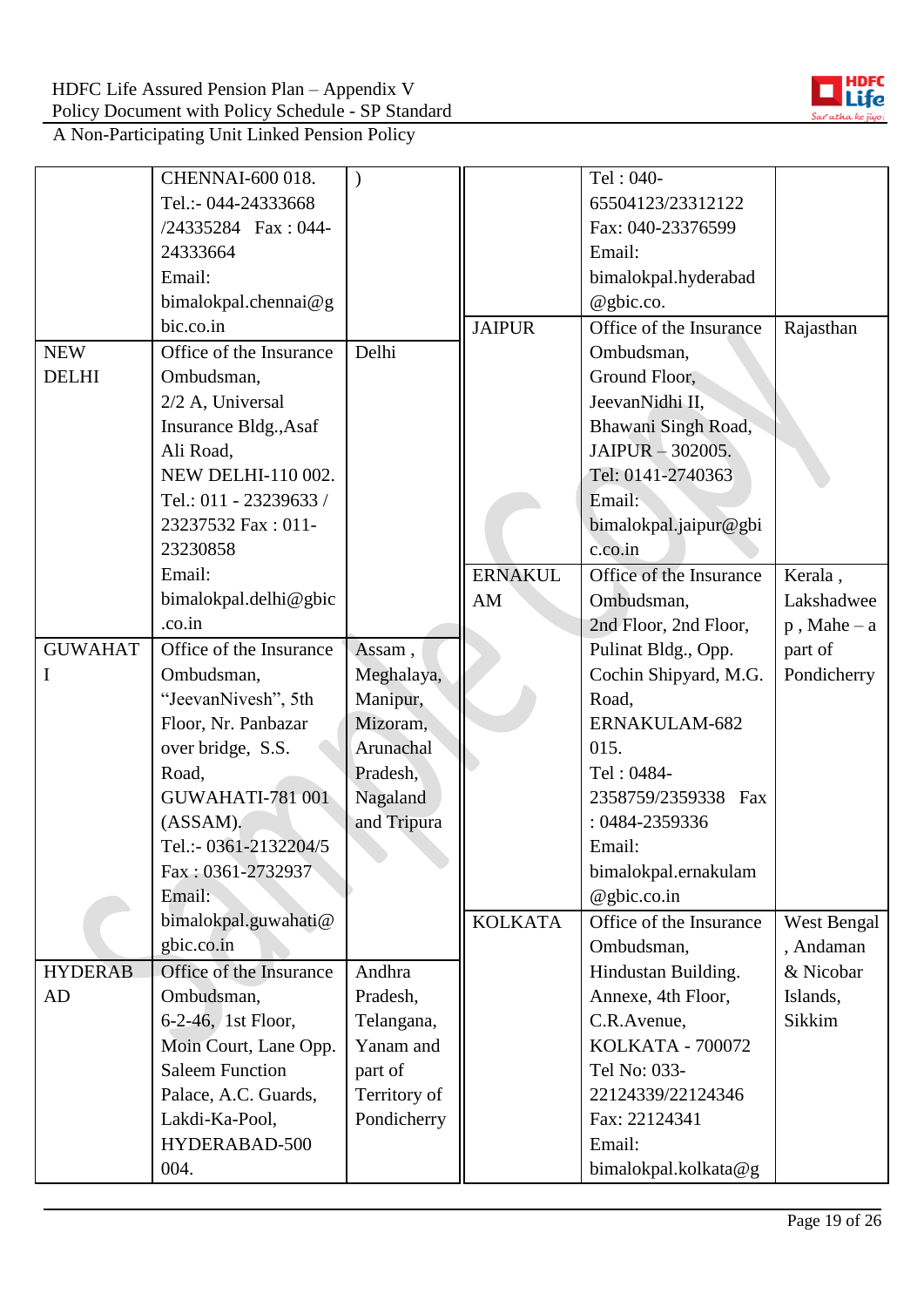

|                | CHENNAI-600 018.        | $\lambda$    |                | Tel: 040-               |                |
|----------------|-------------------------|--------------|----------------|-------------------------|----------------|
|                | Tel.:- 044-24333668     |              |                | 65504123/23312122       |                |
|                | /24335284 Fax: 044-     |              |                | Fax: 040-23376599       |                |
|                | 24333664                |              |                | Email:                  |                |
|                | Email:                  |              |                | bimalokpal.hyderabad    |                |
|                | bimalokpal.chennai@g    |              |                | @gbic.co.               |                |
|                | bic.co.in               |              | <b>JAIPUR</b>  | Office of the Insurance | Rajasthan      |
| <b>NEW</b>     | Office of the Insurance | Delhi        |                | Ombudsman,              |                |
| <b>DELHI</b>   | Ombudsman,              |              |                | Ground Floor,           |                |
|                | 2/2 A, Universal        |              |                | JeevanNidhi II,         |                |
|                | Insurance Bldg., Asaf   |              |                | Bhawani Singh Road,     |                |
|                | Ali Road,               |              |                | JAIPUR - 302005.        |                |
|                | NEW DELHI-110 002.      |              |                | Tel: 0141-2740363       |                |
|                | Tel.: 011 - 23239633 /  |              |                | Email:                  |                |
|                | 23237532 Fax: 011-      |              |                | bimalokpal.jaipur@gbi   |                |
|                | 23230858                |              |                | c.co.in                 |                |
|                | Email:                  |              | <b>ERNAKUL</b> | Office of the Insurance | Kerala,        |
|                | bimalokpal.delhi@gbic   |              | AM             | Ombudsman,              | Lakshadwee     |
|                | .co.in                  |              |                | 2nd Floor, 2nd Floor,   | $p$ , Mahe – a |
| <b>GUWAHAT</b> | Office of the Insurance | Assam,       |                | Pulinat Bldg., Opp.     | part of        |
| I              | Ombudsman,              | Meghalaya,   |                | Cochin Shipyard, M.G.   | Pondicherry    |
|                | "JeevanNivesh", 5th     | Manipur,     |                | Road,                   |                |
|                | Floor, Nr. Panbazar     | Mizoram,     |                | ERNAKULAM-682           |                |
|                | over bridge, S.S.       | Arunachal    |                | 015.                    |                |
|                | Road,                   | Pradesh,     |                | Tel: 0484-              |                |
|                | GUWAHATI-781 001        | Nagaland     |                | 2358759/2359338 Fax     |                |
|                | (ASSAM).                | and Tripura  |                | : 0484-2359336          |                |
|                | Tel.:- 0361-2132204/5   |              |                | Email:                  |                |
|                | Fax: 0361-2732937       |              |                | bimalokpal.ernakulam    |                |
|                | Email:                  |              |                | @gbic.co.in             |                |
|                | bimalokpal.guwahati@    |              | <b>KOLKATA</b> | Office of the Insurance | West Bengal    |
|                | gbic.co.in              |              |                | Ombudsman,              | , Andaman      |
| <b>HYDERAB</b> | Office of the Insurance | Andhra       |                | Hindustan Building.     | & Nicobar      |
| AD             | Ombudsman,              | Pradesh,     |                | Annexe, 4th Floor,      | Islands,       |
|                | 6-2-46, 1st Floor,      | Telangana,   |                | C.R.Avenue,             | Sikkim         |
|                | Moin Court, Lane Opp.   | Yanam and    |                | <b>KOLKATA - 700072</b> |                |
|                | <b>Saleem Function</b>  | part of      |                | Tel No: 033-            |                |
|                | Palace, A.C. Guards,    | Territory of |                | 22124339/22124346       |                |
|                | Lakdi-Ka-Pool,          | Pondicherry  |                | Fax: 22124341           |                |
|                | HYDERABAD-500           |              |                | Email:                  |                |
|                | 004.                    |              |                | bimalokpal.kolkata@g    |                |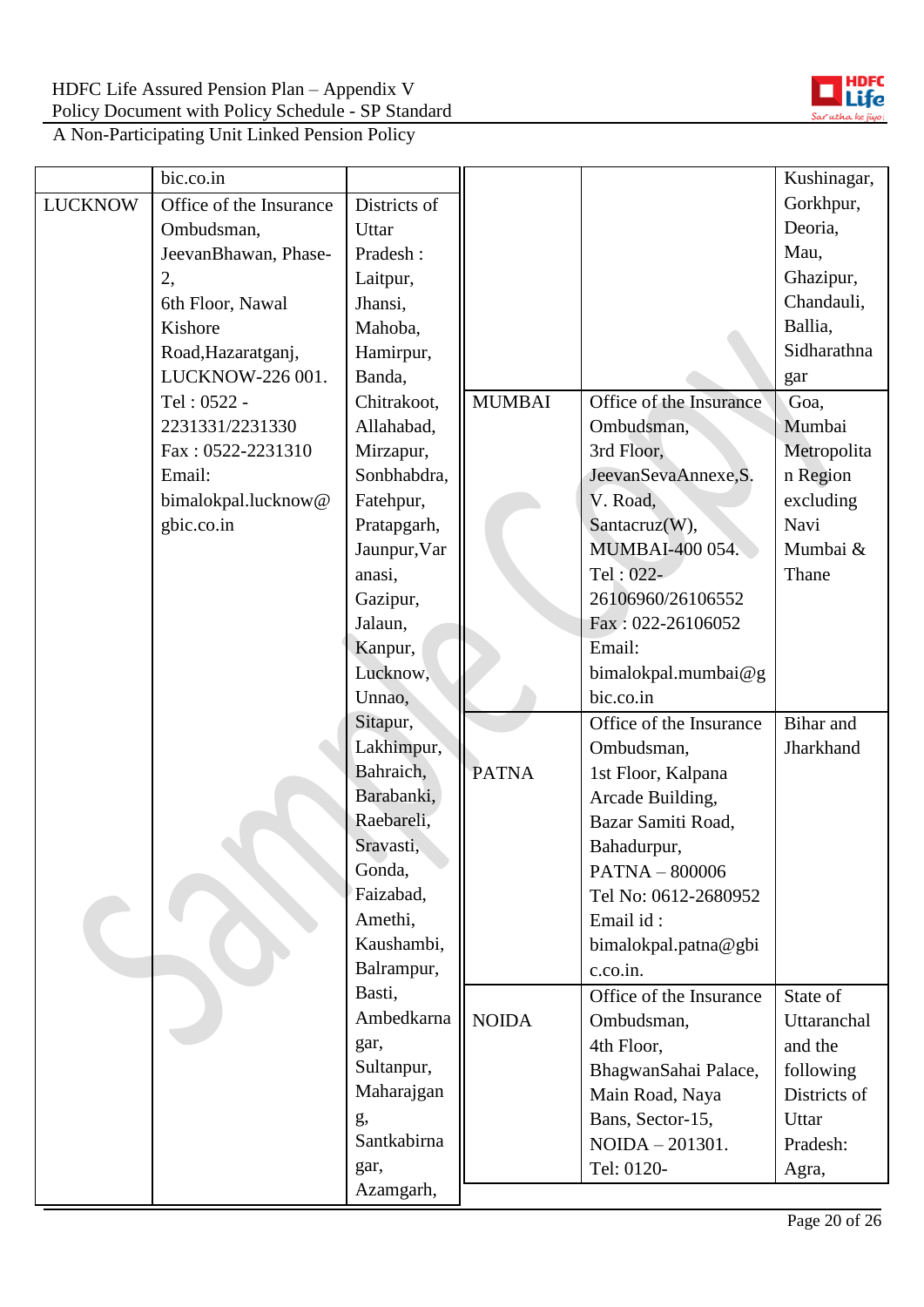

|                | bic.co.in               |                      |               |                                     | Kushinagar,       |
|----------------|-------------------------|----------------------|---------------|-------------------------------------|-------------------|
| <b>LUCKNOW</b> | Office of the Insurance | Districts of         |               |                                     | Gorkhpur,         |
|                | Ombudsman,              | Uttar                |               |                                     | Deoria,           |
|                | JeevanBhawan, Phase-    | Pradesh:             |               |                                     | Mau,              |
|                | 2,                      | Laitpur,             |               |                                     | Ghazipur,         |
|                | 6th Floor, Nawal        | Jhansi,              |               |                                     | Chandauli,        |
|                | Kishore                 | Mahoba,              |               |                                     | Ballia,           |
|                | Road, Hazaratganj,      | Hamirpur,            |               |                                     | Sidharathna       |
|                | LUCKNOW-226 001.        | Banda,               |               |                                     | gar               |
|                | Tel: 0522 -             | Chitrakoot,          | <b>MUMBAI</b> | Office of the Insurance             | Goa,              |
|                | 2231331/2231330         | Allahabad,           |               | Ombudsman,                          | Mumbai            |
|                | Fax: 0522-2231310       | Mirzapur,            |               | 3rd Floor,                          | Metropolita       |
|                | Email:                  | Sonbhabdra,          |               | JeevanSevaAnnexe, S.                | n Region          |
|                | bimalokpal.lucknow@     | Fatehpur,            |               | V. Road,                            | excluding         |
|                | gbic.co.in              | Pratapgarh,          |               | Santacruz(W),                       | Navi              |
|                |                         | Jaunpur, Var         |               | <b>MUMBAI-400 054.</b>              | Mumbai &          |
|                |                         | anasi,               |               | Tel: 022-                           | Thane             |
|                |                         | Gazipur,             |               | 26106960/26106552                   |                   |
|                |                         | Jalaun,              |               | Fax: 022-26106052                   |                   |
|                |                         | Kanpur,              |               | Email:                              |                   |
|                |                         | Lucknow,             |               | bimalokpal.mumbai@g                 |                   |
|                |                         | Unnao,               |               | bic.co.in                           |                   |
|                |                         | Sitapur,             |               | Office of the Insurance             | Bihar and         |
|                |                         | Lakhimpur,           |               | Ombudsman,                          | Jharkhand         |
|                |                         | Bahraich,            | <b>PATNA</b>  | 1st Floor, Kalpana                  |                   |
|                |                         | Barabanki,           |               | Arcade Building,                    |                   |
|                |                         | Raebareli,           |               | Bazar Samiti Road,                  |                   |
|                |                         | Sravasti,            |               | Bahadurpur,                         |                   |
|                |                         | Gonda,               |               | PATNA - 800006                      |                   |
|                |                         | Faizabad,            |               | Tel No: 0612-2680952                |                   |
|                |                         | Amethi,              |               | Email id:                           |                   |
|                |                         | Kaushambi,           |               | bimalokpal.patna@gbi                |                   |
|                |                         | Balrampur,           |               | c.co.in.                            |                   |
|                |                         | Basti,<br>Ambedkarna |               | Office of the Insurance             | State of          |
|                |                         |                      | <b>NOIDA</b>  | Ombudsman,                          | Uttaranchal       |
|                |                         | gar,<br>Sultanpur,   |               | 4th Floor,                          | and the           |
|                |                         | Maharajgan           |               | BhagwanSahai Palace,                | following         |
|                |                         |                      |               | Main Road, Naya                     | Districts of      |
|                |                         | g,<br>Santkabirna    |               | Bans, Sector-15,<br>NOIDA - 201301. | Uttar<br>Pradesh: |
|                |                         | gar,                 |               | Tel: 0120-                          |                   |
|                |                         | Azamgarh,            |               |                                     | Agra,             |
|                |                         |                      |               |                                     |                   |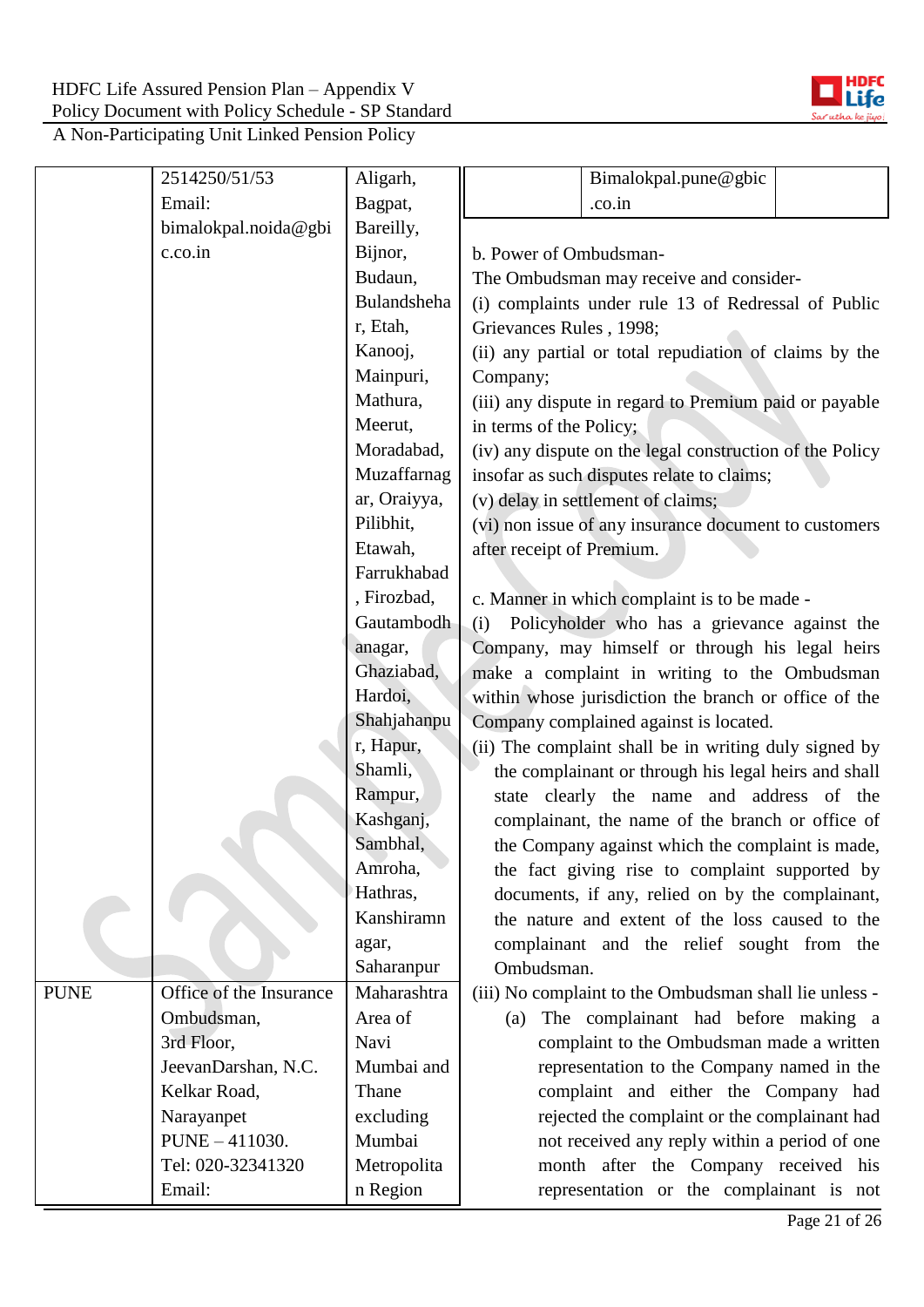

|             | 2514250/51/53           | Aligarh,     |                                                        | Bimalokpal.pune@gbic                                     |  |
|-------------|-------------------------|--------------|--------------------------------------------------------|----------------------------------------------------------|--|
|             | Email:                  | Bagpat,      |                                                        | .co.in                                                   |  |
|             | bimalokpal.noida@gbi    | Bareilly,    |                                                        |                                                          |  |
|             | c.co.in                 | Bijnor,      | b. Power of Ombudsman-                                 |                                                          |  |
|             |                         | Budaun,      |                                                        | The Ombudsman may receive and consider-                  |  |
|             |                         | Bulandsheha  |                                                        | (i) complaints under rule 13 of Redressal of Public      |  |
|             |                         | r, Etah,     | Grievances Rules, 1998;                                |                                                          |  |
|             |                         | Kanooj,      |                                                        | (ii) any partial or total repudiation of claims by the   |  |
|             |                         | Mainpuri,    | Company;                                               |                                                          |  |
|             |                         | Mathura,     | (iii) any dispute in regard to Premium paid or payable |                                                          |  |
|             |                         | Meerut,      | in terms of the Policy;                                |                                                          |  |
|             |                         | Moradabad,   |                                                        | (iv) any dispute on the legal construction of the Policy |  |
|             |                         | Muzaffarnag  |                                                        | insofar as such disputes relate to claims;               |  |
|             |                         | ar, Oraiyya, |                                                        | (v) delay in settlement of claims;                       |  |
|             |                         | Pilibhit,    |                                                        | (vi) non issue of any insurance document to customers    |  |
|             |                         | Etawah,      | after receipt of Premium.                              |                                                          |  |
|             |                         | Farrukhabad  |                                                        |                                                          |  |
|             |                         | , Firozbad,  |                                                        | c. Manner in which complaint is to be made -             |  |
|             |                         | Gautambodh   | (i)                                                    | Policyholder who has a grievance against the             |  |
|             |                         | anagar,      |                                                        | Company, may himself or through his legal heirs          |  |
|             |                         | Ghaziabad,   | make a complaint in writing to the Ombudsman           |                                                          |  |
|             |                         | Hardoi,      |                                                        | within whose jurisdiction the branch or office of the    |  |
|             |                         | Shahjahanpu  |                                                        | Company complained against is located.                   |  |
|             |                         | r, Hapur,    |                                                        | (ii) The complaint shall be in writing duly signed by    |  |
|             |                         | Shamli,      |                                                        | the complainant or through his legal heirs and shall     |  |
|             |                         | Rampur,      |                                                        | state clearly the name and address of the                |  |
|             |                         | Kashganj,    |                                                        | complainant, the name of the branch or office of         |  |
|             |                         | Sambhal,     |                                                        | the Company against which the complaint is made,         |  |
|             |                         | Amroha,      |                                                        | the fact giving rise to complaint supported by           |  |
|             |                         | Hathras,     |                                                        | documents, if any, relied on by the complainant,         |  |
|             |                         | Kanshiramn   |                                                        | the nature and extent of the loss caused to the          |  |
|             |                         | agar,        |                                                        | complainant and the relief sought from the               |  |
|             |                         | Saharanpur   | Ombudsman.                                             |                                                          |  |
| <b>PUNE</b> | Office of the Insurance | Maharashtra  |                                                        | (iii) No complaint to the Ombudsman shall lie unless -   |  |
|             | Ombudsman,              | Area of      | (a)                                                    | The complainant had before making a                      |  |
|             | 3rd Floor,              | Navi         |                                                        | complaint to the Ombudsman made a written                |  |
|             | JeevanDarshan, N.C.     | Mumbai and   |                                                        | representation to the Company named in the               |  |
|             | Kelkar Road,            | Thane        |                                                        | complaint and either the Company had                     |  |
|             | Narayanpet              | excluding    |                                                        | rejected the complaint or the complainant had            |  |
|             | PUNE - 411030.          | Mumbai       |                                                        | not received any reply within a period of one            |  |
|             | Tel: 020-32341320       | Metropolita  |                                                        | month after the Company received his                     |  |
|             | Email:                  | n Region     |                                                        | representation or the complainant is not                 |  |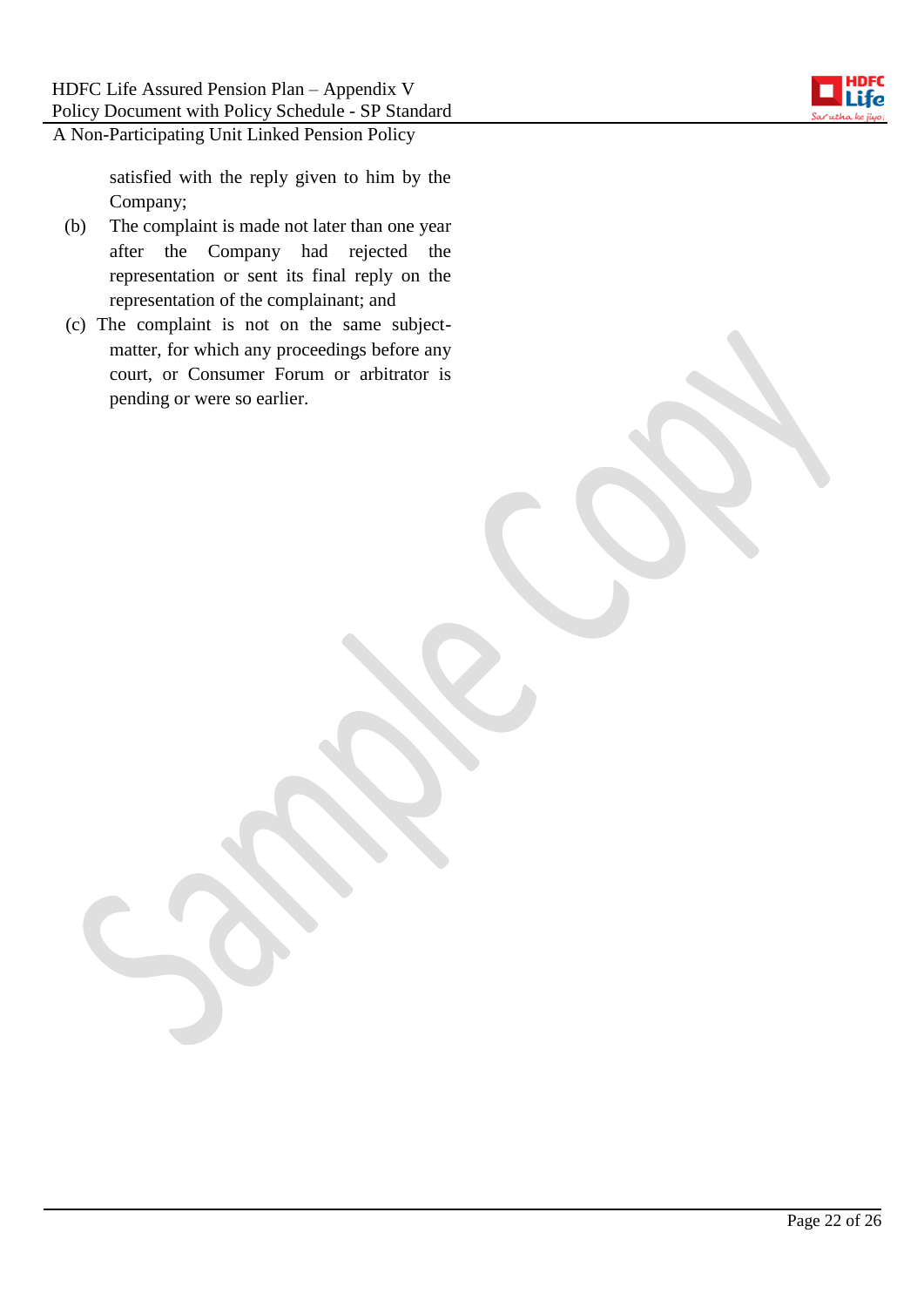

satisfied with the reply given to him by the Company;

- (b) The complaint is made not later than one year after the Company had rejected the representation or sent its final reply on the representation of the complainant; and
- (c) The complaint is not on the same subjectmatter, for which any proceedings before any court, or Consumer Forum or arbitrator is pending or were so earlier.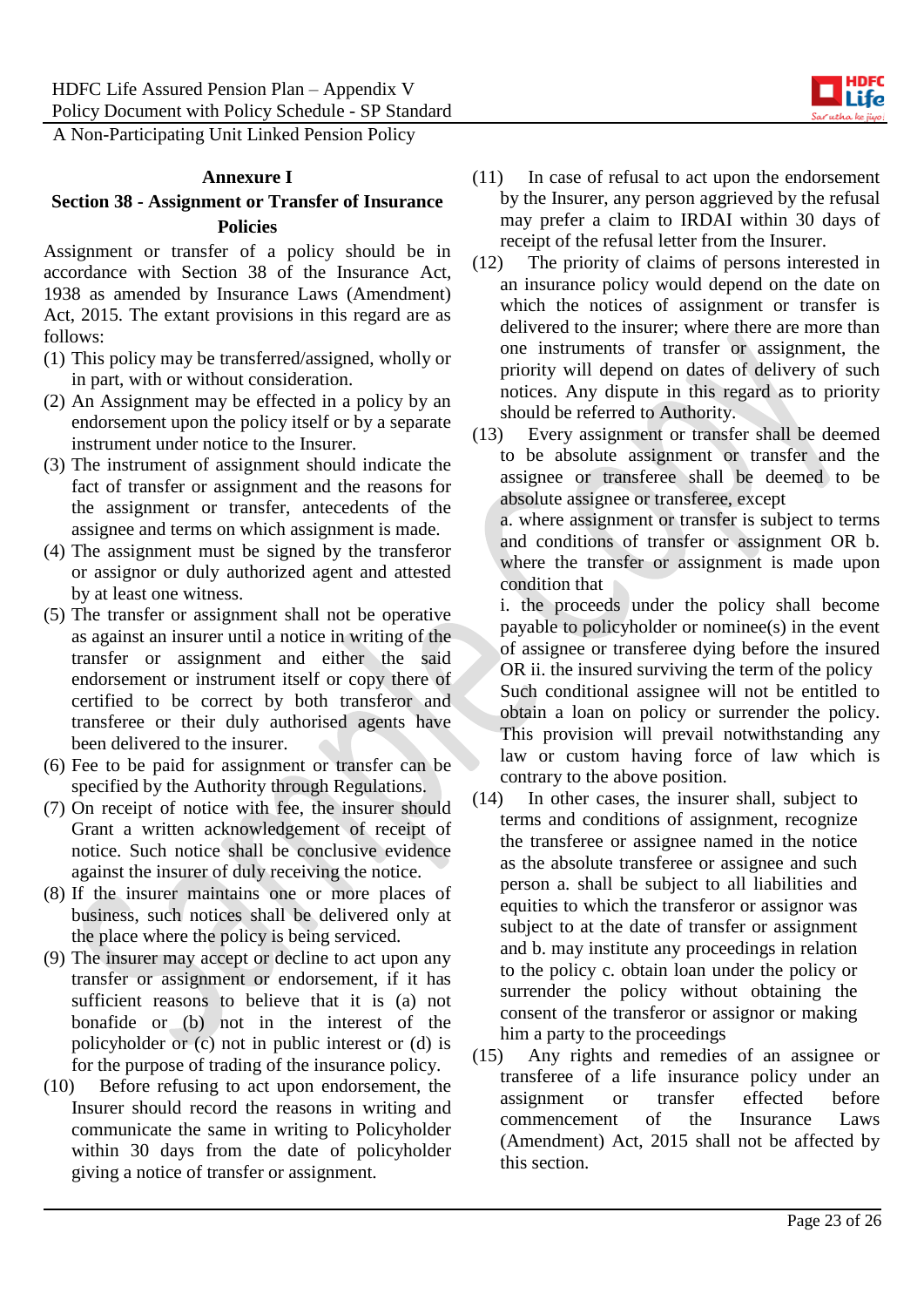#### **Annexure I**

### **Section 38 - Assignment or Transfer of Insurance Policies**

Assignment or transfer of a policy should be in accordance with Section 38 of the Insurance Act, 1938 as amended by Insurance Laws (Amendment) Act, 2015. The extant provisions in this regard are as follows:

- (1) This policy may be transferred/assigned, wholly or in part, with or without consideration.
- (2) An Assignment may be effected in a policy by an endorsement upon the policy itself or by a separate instrument under notice to the Insurer.
- (3) The instrument of assignment should indicate the fact of transfer or assignment and the reasons for the assignment or transfer, antecedents of the assignee and terms on which assignment is made.
- (4) The assignment must be signed by the transferor or assignor or duly authorized agent and attested by at least one witness.
- (5) The transfer or assignment shall not be operative as against an insurer until a notice in writing of the transfer or assignment and either the said endorsement or instrument itself or copy there of certified to be correct by both transferor and transferee or their duly authorised agents have been delivered to the insurer.
- (6) Fee to be paid for assignment or transfer can be specified by the Authority through Regulations.
- (7) On receipt of notice with fee, the insurer should Grant a written acknowledgement of receipt of notice. Such notice shall be conclusive evidence against the insurer of duly receiving the notice.
- (8) If the insurer maintains one or more places of business, such notices shall be delivered only at the place where the policy is being serviced.
- (9) The insurer may accept or decline to act upon any transfer or assignment or endorsement, if it has sufficient reasons to believe that it is (a) not bonafide or (b) not in the interest of the policyholder or (c) not in public interest or (d) is for the purpose of trading of the insurance policy.
- (10) Before refusing to act upon endorsement, the Insurer should record the reasons in writing and communicate the same in writing to Policyholder within 30 days from the date of policyholder giving a notice of transfer or assignment.
- (11) In case of refusal to act upon the endorsement by the Insurer, any person aggrieved by the refusal may prefer a claim to IRDAI within 30 days of receipt of the refusal letter from the Insurer.
- (12) The priority of claims of persons interested in an insurance policy would depend on the date on which the notices of assignment or transfer is delivered to the insurer; where there are more than one instruments of transfer or assignment, the priority will depend on dates of delivery of such notices. Any dispute in this regard as to priority should be referred to Authority.
- (13) Every assignment or transfer shall be deemed to be absolute assignment or transfer and the assignee or transferee shall be deemed to be absolute assignee or transferee, except

a. where assignment or transfer is subject to terms and conditions of transfer or assignment OR b. where the transfer or assignment is made upon condition that

i. the proceeds under the policy shall become payable to policyholder or nominee(s) in the event of assignee or transferee dying before the insured OR ii. the insured surviving the term of the policy Such conditional assignee will not be entitled to obtain a loan on policy or surrender the policy. This provision will prevail notwithstanding any law or custom having force of law which is contrary to the above position.

- (14) In other cases, the insurer shall, subject to terms and conditions of assignment, recognize the transferee or assignee named in the notice as the absolute transferee or assignee and such person a. shall be subject to all liabilities and equities to which the transferor or assignor was subject to at the date of transfer or assignment and b. may institute any proceedings in relation to the policy c. obtain loan under the policy or surrender the policy without obtaining the consent of the transferor or assignor or making him a party to the proceedings
- (15) Any rights and remedies of an assignee or transferee of a life insurance policy under an assignment or transfer effected before commencement of the Insurance Laws (Amendment) Act, 2015 shall not be affected by this section.

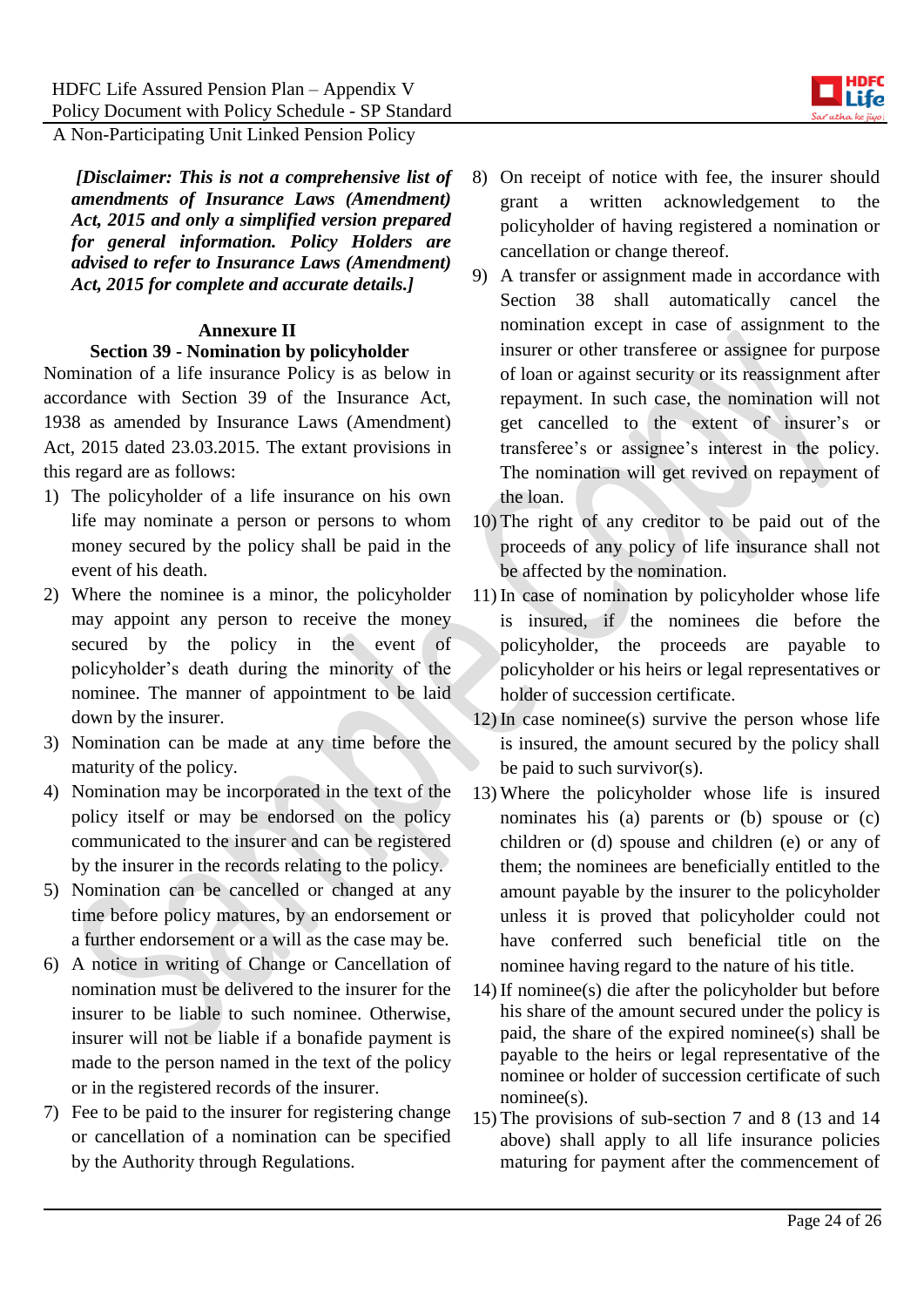*[Disclaimer: This is not a comprehensive list of amendments of Insurance Laws (Amendment) Act, 2015 and only a simplified version prepared for general information. Policy Holders are advised to refer to Insurance Laws (Amendment) Act, 2015 for complete and accurate details.]*

#### **Annexure II**

#### **Section 39 - Nomination by policyholder**

Nomination of a life insurance Policy is as below in accordance with Section 39 of the Insurance Act, 1938 as amended by Insurance Laws (Amendment) Act, 2015 dated 23.03.2015. The extant provisions in this regard are as follows:

- 1) The policyholder of a life insurance on his own life may nominate a person or persons to whom money secured by the policy shall be paid in the event of his death.
- 2) Where the nominee is a minor, the policyholder may appoint any person to receive the money secured by the policy in the event of policyholder's death during the minority of the nominee. The manner of appointment to be laid down by the insurer.
- 3) Nomination can be made at any time before the maturity of the policy.
- 4) Nomination may be incorporated in the text of the policy itself or may be endorsed on the policy communicated to the insurer and can be registered by the insurer in the records relating to the policy.
- 5) Nomination can be cancelled or changed at any time before policy matures, by an endorsement or a further endorsement or a will as the case may be.
- 6) A notice in writing of Change or Cancellation of nomination must be delivered to the insurer for the insurer to be liable to such nominee. Otherwise, insurer will not be liable if a bonafide payment is made to the person named in the text of the policy or in the registered records of the insurer.
- 7) Fee to be paid to the insurer for registering change or cancellation of a nomination can be specified by the Authority through Regulations.
- 8) On receipt of notice with fee, the insurer should grant a written acknowledgement to the policyholder of having registered a nomination or cancellation or change thereof.
- 9) A transfer or assignment made in accordance with Section 38 shall automatically cancel the nomination except in case of assignment to the insurer or other transferee or assignee for purpose of loan or against security or its reassignment after repayment. In such case, the nomination will not get cancelled to the extent of insurer's or transferee's or assignee's interest in the policy. The nomination will get revived on repayment of the loan.
- 10) The right of any creditor to be paid out of the proceeds of any policy of life insurance shall not be affected by the nomination.
- 11) In case of nomination by policyholder whose life is insured, if the nominees die before the policyholder, the proceeds are payable to policyholder or his heirs or legal representatives or holder of succession certificate.
- 12) In case nominee(s) survive the person whose life is insured, the amount secured by the policy shall be paid to such survivor(s).
- 13) Where the policyholder whose life is insured nominates his (a) parents or (b) spouse or (c) children or (d) spouse and children (e) or any of them; the nominees are beneficially entitled to the amount payable by the insurer to the policyholder unless it is proved that policyholder could not have conferred such beneficial title on the nominee having regard to the nature of his title.
- 14) If nominee(s) die after the policyholder but before his share of the amount secured under the policy is paid, the share of the expired nominee(s) shall be payable to the heirs or legal representative of the nominee or holder of succession certificate of such nominee(s).
- 15) The provisions of sub-section 7 and 8 (13 and 14 above) shall apply to all life insurance policies maturing for payment after the commencement of

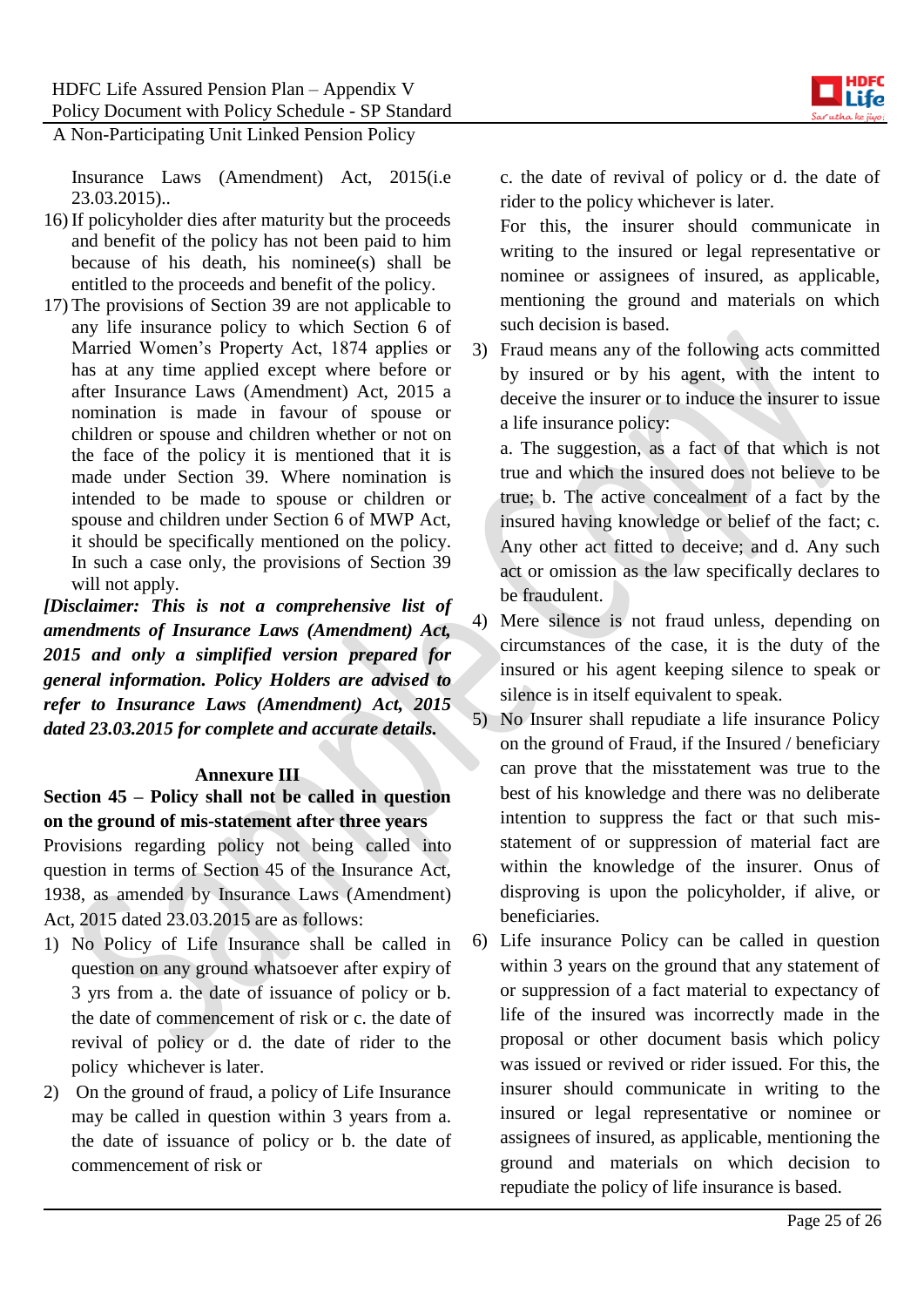

Insurance Laws (Amendment) Act, 2015(i.e 23.03.2015)..

- 16) If policyholder dies after maturity but the proceeds and benefit of the policy has not been paid to him because of his death, his nominee(s) shall be entitled to the proceeds and benefit of the policy.
- 17) The provisions of Section 39 are not applicable to any life insurance policy to which Section 6 of Married Women's Property Act, 1874 applies or has at any time applied except where before or after Insurance Laws (Amendment) Act, 2015 a nomination is made in favour of spouse or children or spouse and children whether or not on the face of the policy it is mentioned that it is made under Section 39. Where nomination is intended to be made to spouse or children or spouse and children under Section 6 of MWP Act, it should be specifically mentioned on the policy. In such a case only, the provisions of Section 39 will not apply.

*[Disclaimer: This is not a comprehensive list of amendments of Insurance Laws (Amendment) Act, 2015 and only a simplified version prepared for general information. Policy Holders are advised to refer to Insurance Laws (Amendment) Act, 2015 dated 23.03.2015 for complete and accurate details.*

### **Annexure III**

**Section 45 – Policy shall not be called in question on the ground of mis-statement after three years**

Provisions regarding policy not being called into question in terms of Section 45 of the Insurance Act, 1938, as amended by Insurance Laws (Amendment) Act, 2015 dated 23.03.2015 are as follows:

- 1) No Policy of Life Insurance shall be called in question on any ground whatsoever after expiry of 3 yrs from a. the date of issuance of policy or b. the date of commencement of risk or c. the date of revival of policy or d. the date of rider to the policy whichever is later.
- 2) On the ground of fraud, a policy of Life Insurance may be called in question within 3 years from a. the date of issuance of policy or b. the date of commencement of risk or

c. the date of revival of policy or d. the date of rider to the policy whichever is later.

For this, the insurer should communicate in writing to the insured or legal representative or nominee or assignees of insured, as applicable, mentioning the ground and materials on which such decision is based.

3) Fraud means any of the following acts committed by insured or by his agent, with the intent to deceive the insurer or to induce the insurer to issue a life insurance policy:

a. The suggestion, as a fact of that which is not true and which the insured does not believe to be true; b. The active concealment of a fact by the insured having knowledge or belief of the fact; c. Any other act fitted to deceive; and d. Any such act or omission as the law specifically declares to be fraudulent.

4) Mere silence is not fraud unless, depending on circumstances of the case, it is the duty of the insured or his agent keeping silence to speak or silence is in itself equivalent to speak.

- 5) No Insurer shall repudiate a life insurance Policy on the ground of Fraud, if the Insured / beneficiary can prove that the misstatement was true to the best of his knowledge and there was no deliberate intention to suppress the fact or that such misstatement of or suppression of material fact are within the knowledge of the insurer. Onus of disproving is upon the policyholder, if alive, or beneficiaries.
- 6) Life insurance Policy can be called in question within 3 years on the ground that any statement of or suppression of a fact material to expectancy of life of the insured was incorrectly made in the proposal or other document basis which policy was issued or revived or rider issued. For this, the insurer should communicate in writing to the insured or legal representative or nominee or assignees of insured, as applicable, mentioning the ground and materials on which decision to repudiate the policy of life insurance is based.